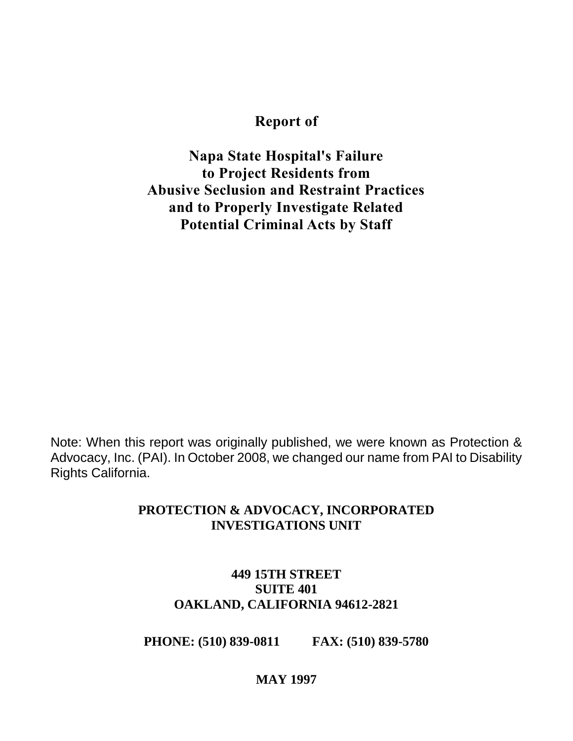#### **Report of**

**Napa State Hospital's Failure to Project Residents from Abusive Seclusion and Restraint Practices and to Properly Investigate Related Potential Criminal Acts by Staff**

Note: When this report was originally published, we were known as Protection & Advocacy, Inc. (PAI). In October 2008, we changed our name from PAI to Disability Rights California.

#### **PROTECTION & ADVOCACY, INCORPORATED INVESTIGATIONS UNIT**

#### **449 15TH STREET SUITE 401 OAKLAND, CALIFORNIA 94612-2821**

**PHONE: (510) 839-0811 FAX: (510) 839-5780**

#### **MAY 1997**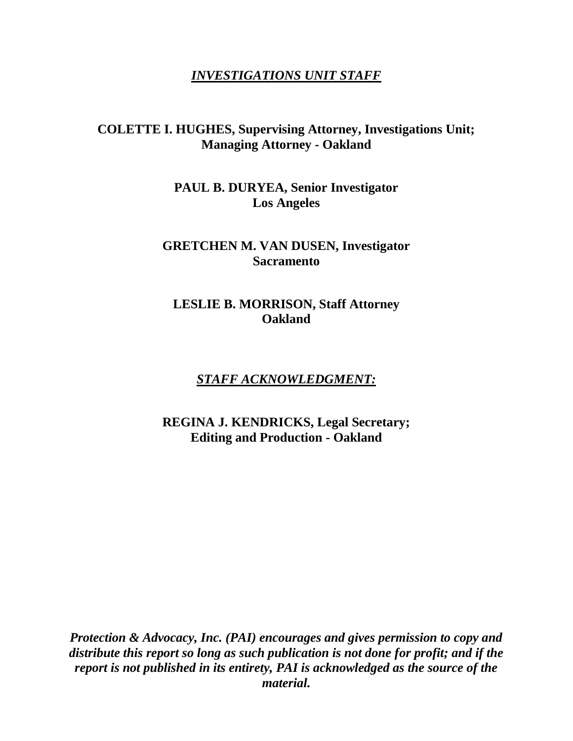#### *INVESTIGATIONS UNIT STAFF*

#### **COLETTE I. HUGHES, Supervising Attorney, Investigations Unit; Managing Attorney - Oakland**

**PAUL B. DURYEA, Senior Investigator Los Angeles**

#### **GRETCHEN M. VAN DUSEN, Investigator Sacramento**

#### **LESLIE B. MORRISON, Staff Attorney Oakland**

#### *STAFF ACKNOWLEDGMENT:*

**REGINA J. KENDRICKS, Legal Secretary; Editing and Production - Oakland**

*Protection & Advocacy, Inc. (PAI) encourages and gives permission to copy and distribute this report so long as such publication is not done for profit; and if the report is not published in its entirety, PAI is acknowledged as the source of the material.*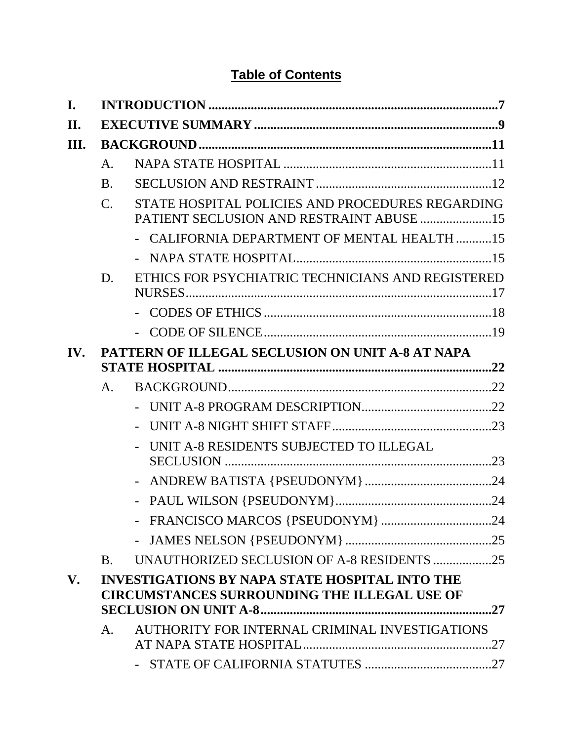# **Table of Contents**

| I.  |                                                  |                                                                                                              |    |  |  |
|-----|--------------------------------------------------|--------------------------------------------------------------------------------------------------------------|----|--|--|
| II. |                                                  |                                                                                                              |    |  |  |
| Ш.  |                                                  |                                                                                                              |    |  |  |
|     | A.                                               |                                                                                                              |    |  |  |
|     | <b>B.</b>                                        |                                                                                                              |    |  |  |
|     | $\mathcal{C}$ .                                  | STATE HOSPITAL POLICIES AND PROCEDURES REGARDING<br>PATIENT SECLUSION AND RESTRAINT ABUSE 15                 |    |  |  |
|     |                                                  | - CALIFORNIA DEPARTMENT OF MENTAL HEALTH 15                                                                  |    |  |  |
|     |                                                  |                                                                                                              |    |  |  |
|     | D.                                               | ETHICS FOR PSYCHIATRIC TECHNICIANS AND REGISTERED                                                            |    |  |  |
|     |                                                  |                                                                                                              |    |  |  |
|     |                                                  |                                                                                                              |    |  |  |
| IV. | PATTERN OF ILLEGAL SECLUSION ON UNIT A-8 AT NAPA |                                                                                                              |    |  |  |
|     | A.                                               |                                                                                                              |    |  |  |
|     |                                                  |                                                                                                              |    |  |  |
|     |                                                  |                                                                                                              |    |  |  |
|     |                                                  | UNIT A-8 RESIDENTS SUBJECTED TO ILLEGAL                                                                      |    |  |  |
|     |                                                  |                                                                                                              |    |  |  |
|     |                                                  |                                                                                                              |    |  |  |
|     |                                                  |                                                                                                              |    |  |  |
|     |                                                  |                                                                                                              |    |  |  |
|     | <b>B.</b>                                        | UNAUTHORIZED SECLUSION OF A-8 RESIDENTS 25                                                                   |    |  |  |
| V.  |                                                  | <b>INVESTIGATIONS BY NAPA STATE HOSPITAL INTO THE</b><br><b>CIRCUMSTANCES SURROUNDING THE ILLEGAL USE OF</b> | 27 |  |  |
|     | A.                                               | AUTHORITY FOR INTERNAL CRIMINAL INVESTIGATIONS                                                               |    |  |  |
|     |                                                  |                                                                                                              |    |  |  |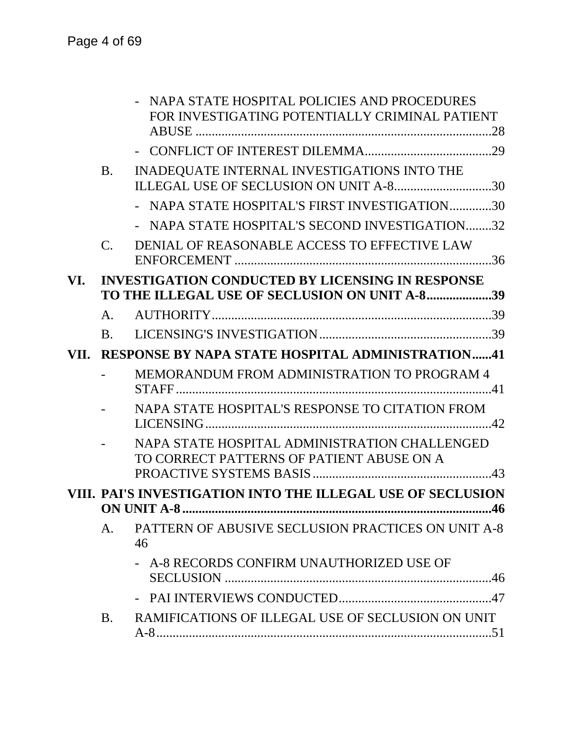|      |                                                                    | NAPA STATE HOSPITAL POLICIES AND PROCEDURES<br>FOR INVESTIGATING POTENTIALLY CRIMINAL PATIENT |  |  |  |
|------|--------------------------------------------------------------------|-----------------------------------------------------------------------------------------------|--|--|--|
|      |                                                                    |                                                                                               |  |  |  |
|      | <b>B.</b>                                                          | INADEQUATE INTERNAL INVESTIGATIONS INTO THE<br>ILLEGAL USE OF SECLUSION ON UNIT A-830         |  |  |  |
|      |                                                                    | - NAPA STATE HOSPITAL'S FIRST INVESTIGATION30                                                 |  |  |  |
|      |                                                                    | NAPA STATE HOSPITAL'S SECOND INVESTIGATION32                                                  |  |  |  |
|      | $\mathcal{C}$ .                                                    | DENIAL OF REASONABLE ACCESS TO EFFECTIVE LAW                                                  |  |  |  |
| VI.  |                                                                    | <b>INVESTIGATION CONDUCTED BY LICENSING IN RESPONSE</b>                                       |  |  |  |
|      |                                                                    | TO THE ILLEGAL USE OF SECLUSION ON UNIT A-839                                                 |  |  |  |
|      | A.                                                                 |                                                                                               |  |  |  |
|      | $\mathbf{B}$ .                                                     |                                                                                               |  |  |  |
| VII. | <b>RESPONSE BY NAPA STATE HOSPITAL ADMINISTRATION41</b>            |                                                                                               |  |  |  |
|      |                                                                    | MEMORANDUM FROM ADMINISTRATION TO PROGRAM 4                                                   |  |  |  |
|      |                                                                    | NAPA STATE HOSPITAL'S RESPONSE TO CITATION FROM                                               |  |  |  |
|      |                                                                    | NAPA STATE HOSPITAL ADMINISTRATION CHALLENGED<br>TO CORRECT PATTERNS OF PATIENT ABUSE ON A    |  |  |  |
|      | VIII. PAI'S INVESTIGATION INTO THE ILLEGAL USE OF SECLUSION<br>.46 |                                                                                               |  |  |  |
|      | A.                                                                 | PATTERN OF ABUSIVE SECLUSION PRACTICES ON UNIT A-8<br>46                                      |  |  |  |
|      |                                                                    | - A-8 RECORDS CONFIRM UNAUTHORIZED USE OF                                                     |  |  |  |
|      |                                                                    |                                                                                               |  |  |  |
|      | <b>B.</b>                                                          | RAMIFICATIONS OF ILLEGAL USE OF SECLUSION ON UNIT                                             |  |  |  |
|      |                                                                    |                                                                                               |  |  |  |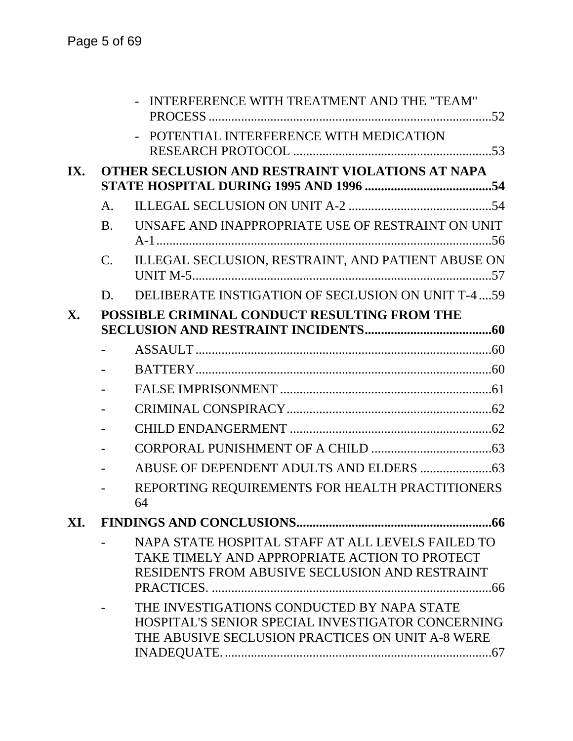|                |                                                  | INTERFERENCE WITH TREATMENT AND THE "TEAM"                                                                                                           |  |  |  |
|----------------|--------------------------------------------------|------------------------------------------------------------------------------------------------------------------------------------------------------|--|--|--|
|                |                                                  | POTENTIAL INTERFERENCE WITH MEDICATION                                                                                                               |  |  |  |
| IX.            | OTHER SECLUSION AND RESTRAINT VIOLATIONS AT NAPA |                                                                                                                                                      |  |  |  |
|                | $\mathsf{A}$ .                                   |                                                                                                                                                      |  |  |  |
|                | B <sub>1</sub>                                   | UNSAFE AND INAPPROPRIATE USE OF RESTRAINT ON UNIT                                                                                                    |  |  |  |
|                | $C_{\cdot}$                                      | ILLEGAL SECLUSION, RESTRAINT, AND PATIENT ABUSE ON                                                                                                   |  |  |  |
|                | D.                                               | DELIBERATE INSTIGATION OF SECLUSION ON UNIT T-4  59                                                                                                  |  |  |  |
| $\mathbf{X}$ . | POSSIBLE CRIMINAL CONDUCT RESULTING FROM THE     |                                                                                                                                                      |  |  |  |
|                |                                                  |                                                                                                                                                      |  |  |  |
|                |                                                  |                                                                                                                                                      |  |  |  |
|                |                                                  |                                                                                                                                                      |  |  |  |
|                |                                                  |                                                                                                                                                      |  |  |  |
|                |                                                  |                                                                                                                                                      |  |  |  |
|                |                                                  |                                                                                                                                                      |  |  |  |
|                |                                                  |                                                                                                                                                      |  |  |  |
|                |                                                  | REPORTING REQUIREMENTS FOR HEALTH PRACTITIONERS<br>64                                                                                                |  |  |  |
| XI.            |                                                  |                                                                                                                                                      |  |  |  |
|                |                                                  | NAPA STATE HOSPITAL STAFF AT ALL LEVELS FAILED TO<br>TAKE TIMELY AND APPROPRIATE ACTION TO PROTECT<br>RESIDENTS FROM ABUSIVE SECLUSION AND RESTRAINT |  |  |  |
|                |                                                  | THE INVESTIGATIONS CONDUCTED BY NAPA STATE<br>HOSPITAL'S SENIOR SPECIAL INVESTIGATOR CONCERNING<br>THE ABUSIVE SECLUSION PRACTICES ON UNIT A-8 WERE  |  |  |  |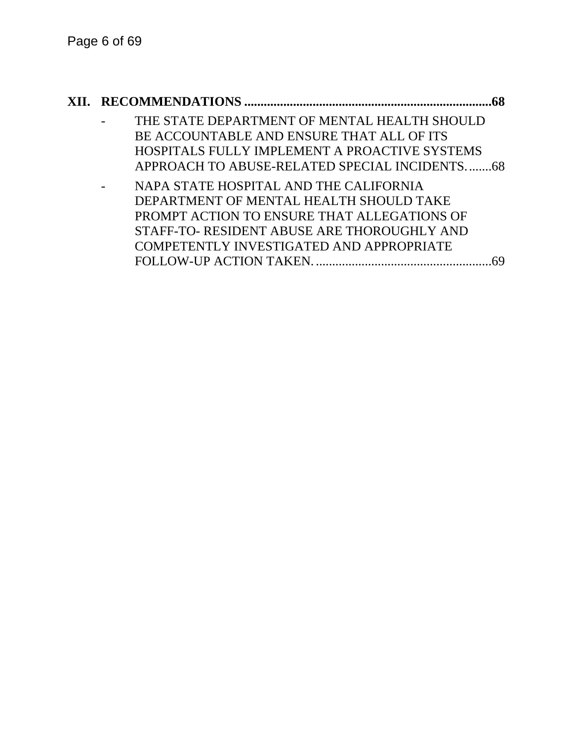### **XII. RECOMMENDATIONS ............................................................................68** THE STATE DEPARTMENT OF MENTAL HEALTH SHOULD BE ACCOUNTABLE AND ENSURE THAT ALL OF ITS HOSPITALS FULLY IMPLEMENT A PROACTIVE SYSTEMS APPROACH TO ABUSE-RELATED SPECIAL INCIDENTS........68 - NAPA STATE HOSPITAL AND THE CALIFORNIA DEPARTMENT OF MENTAL HEALTH SHOULD TAKE PROMPT ACTION TO ENSURE THAT ALLEGATIONS OF STAFF-TO- RESIDENT ABUSE ARE THOROUGHLY AND COMPETENTLY INVESTIGATED AND APPROPRIATE FOLLOW-UP ACTION TAKEN. ......................................................69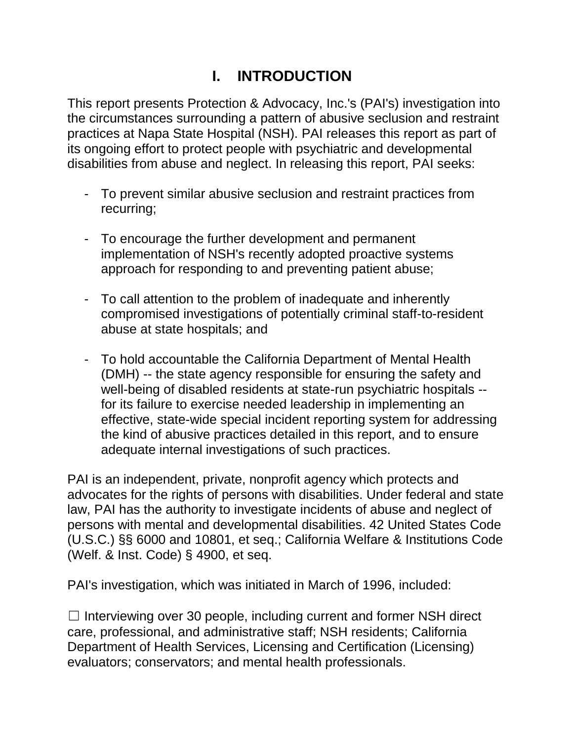# **I. INTRODUCTION**

This report presents Protection & Advocacy, Inc.'s (PAI's) investigation into the circumstances surrounding a pattern of abusive seclusion and restraint practices at Napa State Hospital (NSH). PAI releases this report as part of its ongoing effort to protect people with psychiatric and developmental disabilities from abuse and neglect. In releasing this report, PAI seeks:

- To prevent similar abusive seclusion and restraint practices from recurring;
- To encourage the further development and permanent implementation of NSH's recently adopted proactive systems approach for responding to and preventing patient abuse;
- To call attention to the problem of inadequate and inherently compromised investigations of potentially criminal staff-to-resident abuse at state hospitals; and
- To hold accountable the California Department of Mental Health (DMH) -- the state agency responsible for ensuring the safety and well-being of disabled residents at state-run psychiatric hospitals - for its failure to exercise needed leadership in implementing an effective, state-wide special incident reporting system for addressing the kind of abusive practices detailed in this report, and to ensure adequate internal investigations of such practices.

PAI is an independent, private, nonprofit agency which protects and advocates for the rights of persons with disabilities. Under federal and state law, PAI has the authority to investigate incidents of abuse and neglect of persons with mental and developmental disabilities. 42 United States Code (U.S.C.) §§ 6000 and 10801, et seq.; California Welfare & Institutions Code (Welf. & Inst. Code) § 4900, et seq.

PAI's investigation, which was initiated in March of 1996, included:

 $\Box$  Interviewing over 30 people, including current and former NSH direct care, professional, and administrative staff; NSH residents; California Department of Health Services, Licensing and Certification (Licensing) evaluators; conservators; and mental health professionals.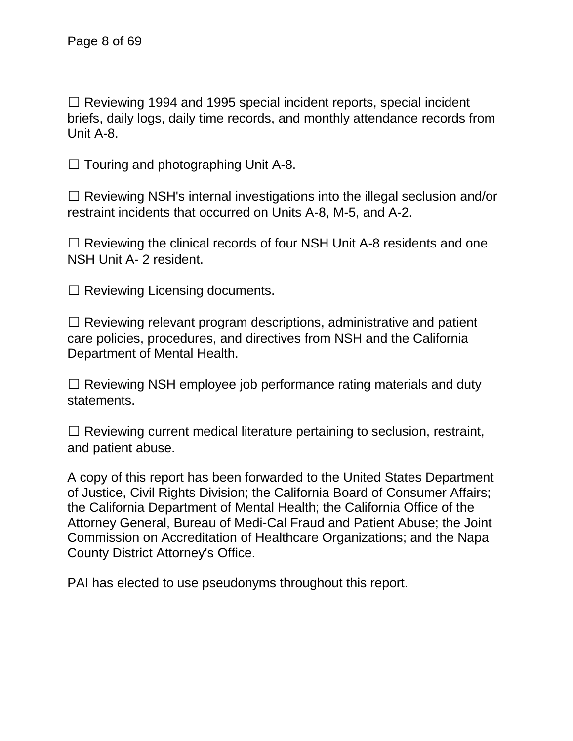$\Box$  Reviewing 1994 and 1995 special incident reports, special incident briefs, daily logs, daily time records, and monthly attendance records from Unit A-8.

 $\Box$  Touring and photographing Unit A-8.

 $\Box$  Reviewing NSH's internal investigations into the illegal seclusion and/or restraint incidents that occurred on Units A-8, M-5, and A-2.

 $\Box$  Reviewing the clinical records of four NSH Unit A-8 residents and one NSH Unit A- 2 resident.

 $\Box$  Reviewing Licensing documents.

 $\Box$  Reviewing relevant program descriptions, administrative and patient care policies, procedures, and directives from NSH and the California Department of Mental Health.

 $\Box$  Reviewing NSH employee job performance rating materials and duty statements.

 $\Box$  Reviewing current medical literature pertaining to seclusion, restraint, and patient abuse.

A copy of this report has been forwarded to the United States Department of Justice, Civil Rights Division; the California Board of Consumer Affairs; the California Department of Mental Health; the California Office of the Attorney General, Bureau of Medi-Cal Fraud and Patient Abuse; the Joint Commission on Accreditation of Healthcare Organizations; and the Napa County District Attorney's Office.

PAI has elected to use pseudonyms throughout this report.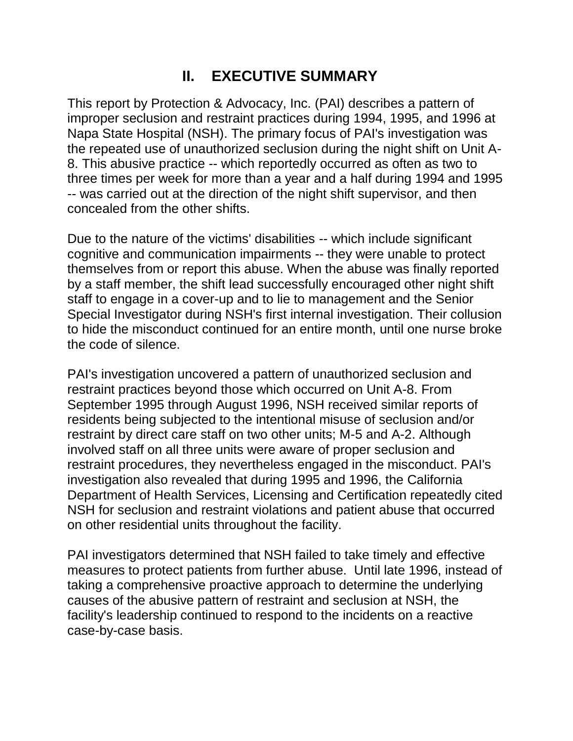# **II. EXECUTIVE SUMMARY**

This report by Protection & Advocacy, Inc. (PAI) describes a pattern of improper seclusion and restraint practices during 1994, 1995, and 1996 at Napa State Hospital (NSH). The primary focus of PAI's investigation was the repeated use of unauthorized seclusion during the night shift on Unit A-8. This abusive practice -- which reportedly occurred as often as two to three times per week for more than a year and a half during 1994 and 1995 -- was carried out at the direction of the night shift supervisor, and then concealed from the other shifts.

Due to the nature of the victims' disabilities -- which include significant cognitive and communication impairments -- they were unable to protect themselves from or report this abuse. When the abuse was finally reported by a staff member, the shift lead successfully encouraged other night shift staff to engage in a cover-up and to lie to management and the Senior Special Investigator during NSH's first internal investigation. Their collusion to hide the misconduct continued for an entire month, until one nurse broke the code of silence.

PAI's investigation uncovered a pattern of unauthorized seclusion and restraint practices beyond those which occurred on Unit A-8. From September 1995 through August 1996, NSH received similar reports of residents being subjected to the intentional misuse of seclusion and/or restraint by direct care staff on two other units; M-5 and A-2. Although involved staff on all three units were aware of proper seclusion and restraint procedures, they nevertheless engaged in the misconduct. PAI's investigation also revealed that during 1995 and 1996, the California Department of Health Services, Licensing and Certification repeatedly cited NSH for seclusion and restraint violations and patient abuse that occurred on other residential units throughout the facility.

PAI investigators determined that NSH failed to take timely and effective measures to protect patients from further abuse. Until late 1996, instead of taking a comprehensive proactive approach to determine the underlying causes of the abusive pattern of restraint and seclusion at NSH, the facility's leadership continued to respond to the incidents on a reactive case-by-case basis.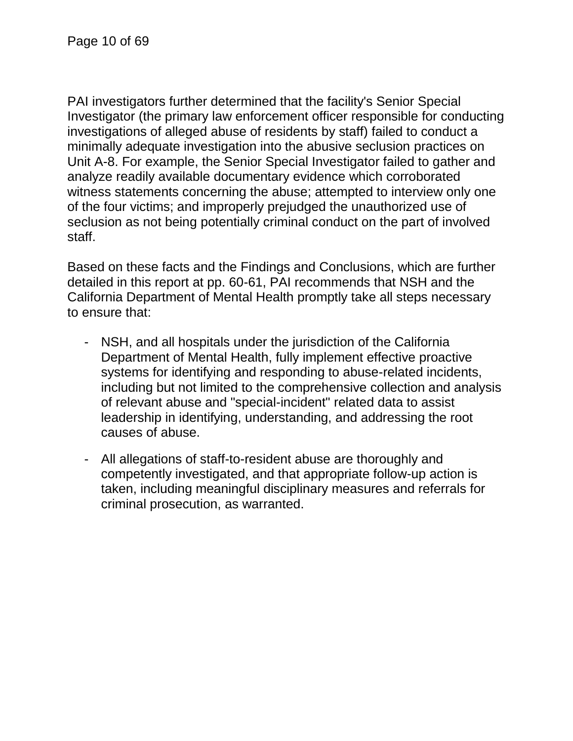PAI investigators further determined that the facility's Senior Special Investigator (the primary law enforcement officer responsible for conducting investigations of alleged abuse of residents by staff) failed to conduct a minimally adequate investigation into the abusive seclusion practices on Unit A-8. For example, the Senior Special Investigator failed to gather and analyze readily available documentary evidence which corroborated witness statements concerning the abuse; attempted to interview only one of the four victims; and improperly prejudged the unauthorized use of seclusion as not being potentially criminal conduct on the part of involved staff.

Based on these facts and the Findings and Conclusions, which are further detailed in this report at pp. 60-61, PAI recommends that NSH and the California Department of Mental Health promptly take all steps necessary to ensure that:

- NSH, and all hospitals under the jurisdiction of the California Department of Mental Health, fully implement effective proactive systems for identifying and responding to abuse-related incidents, including but not limited to the comprehensive collection and analysis of relevant abuse and "special-incident" related data to assist leadership in identifying, understanding, and addressing the root causes of abuse.
- All allegations of staff-to-resident abuse are thoroughly and competently investigated, and that appropriate follow-up action is taken, including meaningful disciplinary measures and referrals for criminal prosecution, as warranted.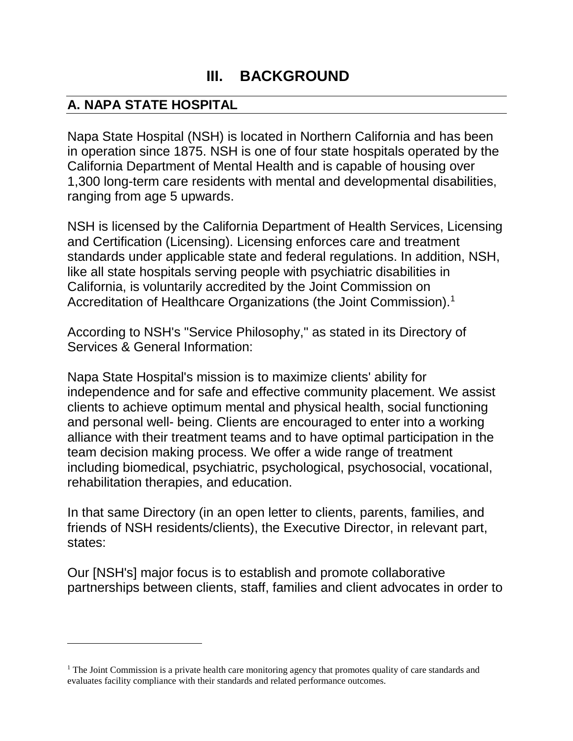# **III. BACKGROUND**

## **A. NAPA STATE HOSPITAL**

l

Napa State Hospital (NSH) is located in Northern California and has been in operation since 1875. NSH is one of four state hospitals operated by the California Department of Mental Health and is capable of housing over 1,300 long-term care residents with mental and developmental disabilities, ranging from age 5 upwards.

NSH is licensed by the California Department of Health Services, Licensing and Certification (Licensing). Licensing enforces care and treatment standards under applicable state and federal regulations. In addition, NSH, like all state hospitals serving people with psychiatric disabilities in California, is voluntarily accredited by the Joint Commission on Accreditation of Healthcare Organizations (the Joint Commission).<sup>1</sup>

According to NSH's "Service Philosophy," as stated in its Directory of Services & General Information:

Napa State Hospital's mission is to maximize clients' ability for independence and for safe and effective community placement. We assist clients to achieve optimum mental and physical health, social functioning and personal well- being. Clients are encouraged to enter into a working alliance with their treatment teams and to have optimal participation in the team decision making process. We offer a wide range of treatment including biomedical, psychiatric, psychological, psychosocial, vocational, rehabilitation therapies, and education.

In that same Directory (in an open letter to clients, parents, families, and friends of NSH residents/clients), the Executive Director, in relevant part, states:

Our [NSH's] major focus is to establish and promote collaborative partnerships between clients, staff, families and client advocates in order to

 $<sup>1</sup>$  The Joint Commission is a private health care monitoring agency that promotes quality of care standards and</sup> evaluates facility compliance with their standards and related performance outcomes.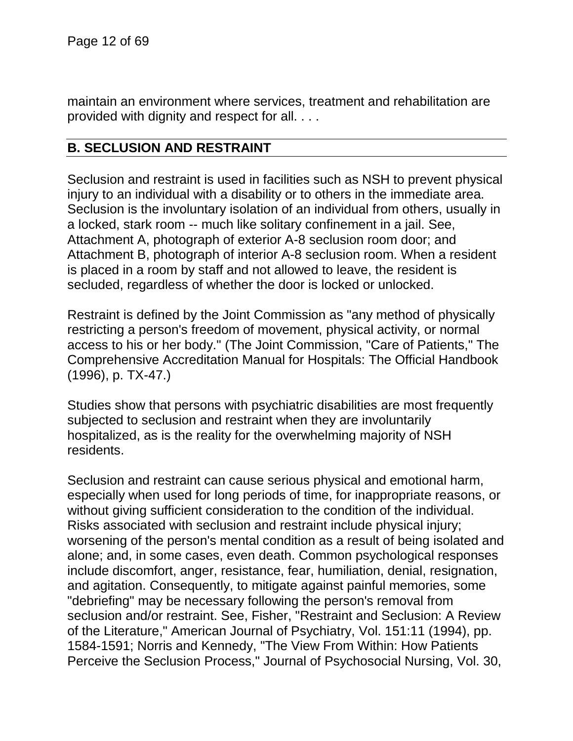maintain an environment where services, treatment and rehabilitation are provided with dignity and respect for all. . . .

### **B. SECLUSION AND RESTRAINT**

Seclusion and restraint is used in facilities such as NSH to prevent physical injury to an individual with a disability or to others in the immediate area. Seclusion is the involuntary isolation of an individual from others, usually in a locked, stark room -- much like solitary confinement in a jail. See, Attachment A, photograph of exterior A-8 seclusion room door; and Attachment B, photograph of interior A-8 seclusion room. When a resident is placed in a room by staff and not allowed to leave, the resident is secluded, regardless of whether the door is locked or unlocked.

Restraint is defined by the Joint Commission as "any method of physically restricting a person's freedom of movement, physical activity, or normal access to his or her body." (The Joint Commission, "Care of Patients," The Comprehensive Accreditation Manual for Hospitals: The Official Handbook (1996), p. TX-47.)

Studies show that persons with psychiatric disabilities are most frequently subjected to seclusion and restraint when they are involuntarily hospitalized, as is the reality for the overwhelming majority of NSH residents.

Seclusion and restraint can cause serious physical and emotional harm, especially when used for long periods of time, for inappropriate reasons, or without giving sufficient consideration to the condition of the individual. Risks associated with seclusion and restraint include physical injury; worsening of the person's mental condition as a result of being isolated and alone; and, in some cases, even death. Common psychological responses include discomfort, anger, resistance, fear, humiliation, denial, resignation, and agitation. Consequently, to mitigate against painful memories, some "debriefing" may be necessary following the person's removal from seclusion and/or restraint. See, Fisher, "Restraint and Seclusion: A Review of the Literature," American Journal of Psychiatry, Vol. 151:11 (1994), pp. 1584-1591; Norris and Kennedy, "The View From Within: How Patients Perceive the Seclusion Process," Journal of Psychosocial Nursing, Vol. 30,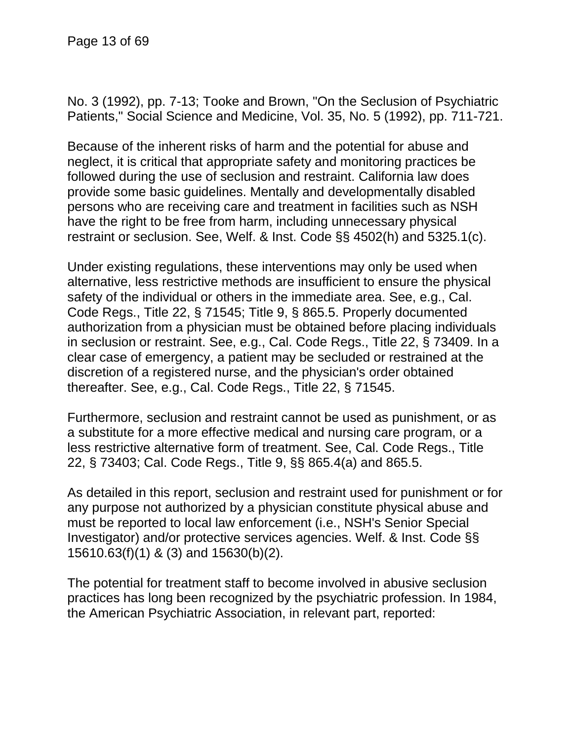No. 3 (1992), pp. 7-13; Tooke and Brown, "On the Seclusion of Psychiatric Patients," Social Science and Medicine, Vol. 35, No. 5 (1992), pp. 711-721.

Because of the inherent risks of harm and the potential for abuse and neglect, it is critical that appropriate safety and monitoring practices be followed during the use of seclusion and restraint. California law does provide some basic guidelines. Mentally and developmentally disabled persons who are receiving care and treatment in facilities such as NSH have the right to be free from harm, including unnecessary physical restraint or seclusion. See, Welf. & Inst. Code §§ 4502(h) and 5325.1(c).

Under existing regulations, these interventions may only be used when alternative, less restrictive methods are insufficient to ensure the physical safety of the individual or others in the immediate area. See, e.g., Cal. Code Regs., Title 22, § 71545; Title 9, § 865.5. Properly documented authorization from a physician must be obtained before placing individuals in seclusion or restraint. See, e.g., Cal. Code Regs., Title 22, § 73409. In a clear case of emergency, a patient may be secluded or restrained at the discretion of a registered nurse, and the physician's order obtained thereafter. See, e.g., Cal. Code Regs., Title 22, § 71545.

Furthermore, seclusion and restraint cannot be used as punishment, or as a substitute for a more effective medical and nursing care program, or a less restrictive alternative form of treatment. See, Cal. Code Regs., Title 22, § 73403; Cal. Code Regs., Title 9, §§ 865.4(a) and 865.5.

As detailed in this report, seclusion and restraint used for punishment or for any purpose not authorized by a physician constitute physical abuse and must be reported to local law enforcement (i.e., NSH's Senior Special Investigator) and/or protective services agencies. Welf. & Inst. Code §§ 15610.63(f)(1) & (3) and 15630(b)(2).

The potential for treatment staff to become involved in abusive seclusion practices has long been recognized by the psychiatric profession. In 1984, the American Psychiatric Association, in relevant part, reported: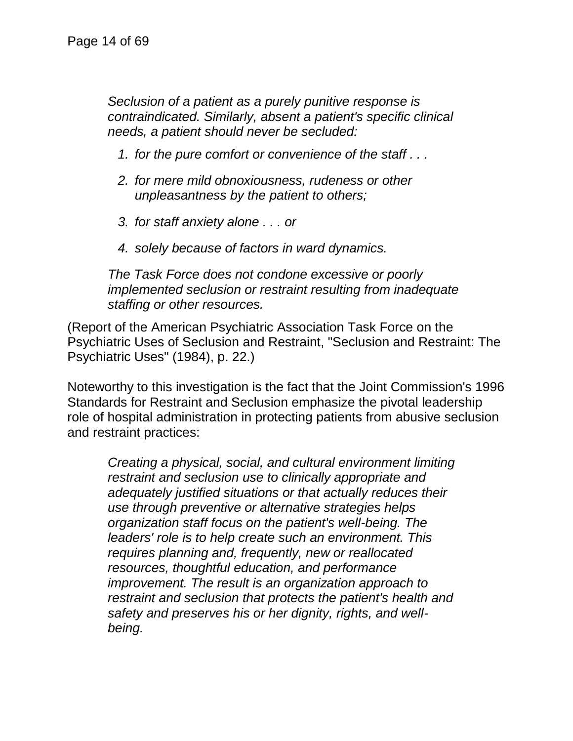*Seclusion of a patient as a purely punitive response is contraindicated. Similarly, absent a patient's specific clinical needs, a patient should never be secluded:*

- *1. for the pure comfort or convenience of the staff . . .*
- *2. for mere mild obnoxiousness, rudeness or other unpleasantness by the patient to others;*
- *3. for staff anxiety alone . . . or*
- *4. solely because of factors in ward dynamics.*

*The Task Force does not condone excessive or poorly implemented seclusion or restraint resulting from inadequate staffing or other resources.*

(Report of the American Psychiatric Association Task Force on the Psychiatric Uses of Seclusion and Restraint, "Seclusion and Restraint: The Psychiatric Uses" (1984), p. 22.)

Noteworthy to this investigation is the fact that the Joint Commission's 1996 Standards for Restraint and Seclusion emphasize the pivotal leadership role of hospital administration in protecting patients from abusive seclusion and restraint practices:

*Creating a physical, social, and cultural environment limiting restraint and seclusion use to clinically appropriate and adequately justified situations or that actually reduces their use through preventive or alternative strategies helps organization staff focus on the patient's well-being. The leaders' role is to help create such an environment. This requires planning and, frequently, new or reallocated resources, thoughtful education, and performance improvement. The result is an organization approach to restraint and seclusion that protects the patient's health and safety and preserves his or her dignity, rights, and wellbeing.*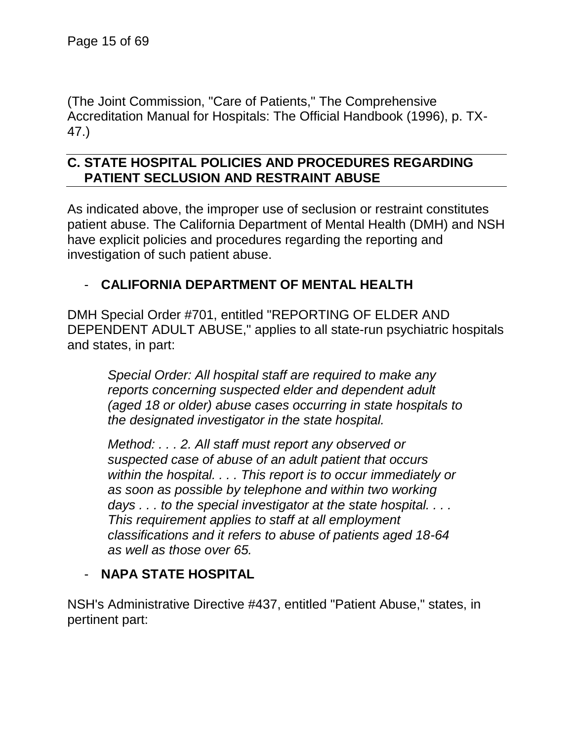(The Joint Commission, "Care of Patients," The Comprehensive Accreditation Manual for Hospitals: The Official Handbook (1996), p. TX-47.)

### **C. STATE HOSPITAL POLICIES AND PROCEDURES REGARDING PATIENT SECLUSION AND RESTRAINT ABUSE**

As indicated above, the improper use of seclusion or restraint constitutes patient abuse. The California Department of Mental Health (DMH) and NSH have explicit policies and procedures regarding the reporting and investigation of such patient abuse.

# - **CALIFORNIA DEPARTMENT OF MENTAL HEALTH**

DMH Special Order #701, entitled "REPORTING OF ELDER AND DEPENDENT ADULT ABUSE," applies to all state-run psychiatric hospitals and states, in part:

*Special Order: All hospital staff are required to make any reports concerning suspected elder and dependent adult (aged 18 or older) abuse cases occurring in state hospitals to the designated investigator in the state hospital.*

*Method: . . . 2. All staff must report any observed or suspected case of abuse of an adult patient that occurs within the hospital. . . . This report is to occur immediately or as soon as possible by telephone and within two working days . . . to the special investigator at the state hospital. . . . This requirement applies to staff at all employment classifications and it refers to abuse of patients aged 18-64 as well as those over 65.*

### - **NAPA STATE HOSPITAL**

NSH's Administrative Directive #437, entitled "Patient Abuse," states, in pertinent part: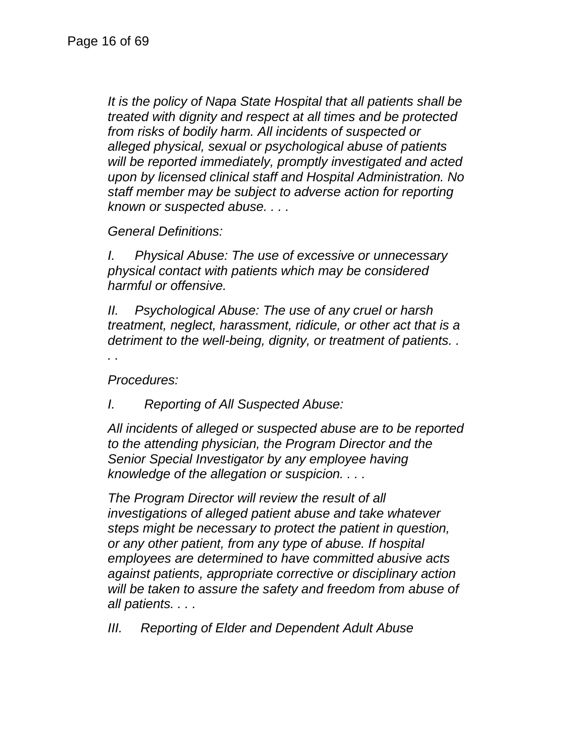*It is the policy of Napa State Hospital that all patients shall be treated with dignity and respect at all times and be protected from risks of bodily harm. All incidents of suspected or alleged physical, sexual or psychological abuse of patients will be reported immediately, promptly investigated and acted upon by licensed clinical staff and Hospital Administration. No staff member may be subject to adverse action for reporting known or suspected abuse. . . .*

*General Definitions:*

*I. Physical Abuse: The use of excessive or unnecessary physical contact with patients which may be considered harmful or offensive.*

*II. Psychological Abuse: The use of any cruel or harsh treatment, neglect, harassment, ridicule, or other act that is a detriment to the well-being, dignity, or treatment of patients. .* 

*. .*

*Procedures:*

*I. Reporting of All Suspected Abuse:*

*All incidents of alleged or suspected abuse are to be reported to the attending physician, the Program Director and the Senior Special Investigator by any employee having knowledge of the allegation or suspicion. . . .*

*The Program Director will review the result of all investigations of alleged patient abuse and take whatever steps might be necessary to protect the patient in question, or any other patient, from any type of abuse. If hospital employees are determined to have committed abusive acts against patients, appropriate corrective or disciplinary action will be taken to assure the safety and freedom from abuse of all patients. . . .*

*III. Reporting of Elder and Dependent Adult Abuse*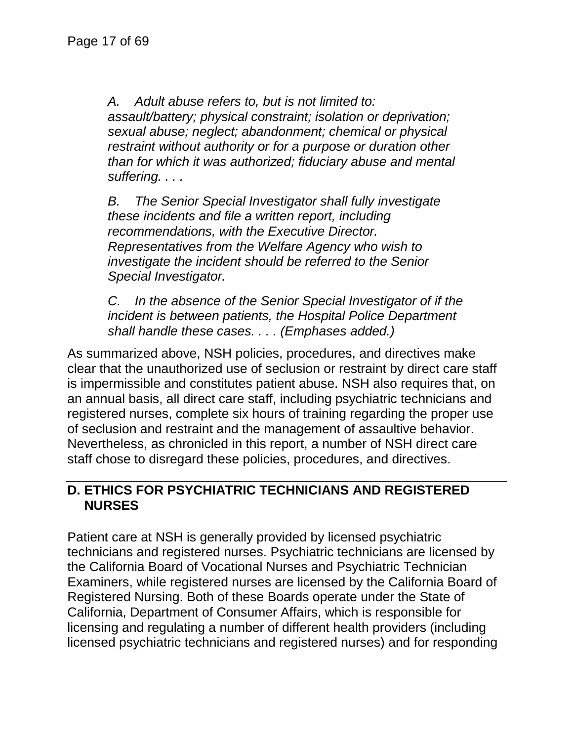*A. Adult abuse refers to, but is not limited to: assault/battery; physical constraint; isolation or deprivation; sexual abuse; neglect; abandonment; chemical or physical restraint without authority or for a purpose or duration other than for which it was authorized; fiduciary abuse and mental suffering. . . .*

*B. The Senior Special Investigator shall fully investigate these incidents and file a written report, including recommendations, with the Executive Director. Representatives from the Welfare Agency who wish to investigate the incident should be referred to the Senior Special Investigator.*

*C. In the absence of the Senior Special Investigator of if the incident is between patients, the Hospital Police Department shall handle these cases. . . . (Emphases added.)*

As summarized above, NSH policies, procedures, and directives make clear that the unauthorized use of seclusion or restraint by direct care staff is impermissible and constitutes patient abuse. NSH also requires that, on an annual basis, all direct care staff, including psychiatric technicians and registered nurses, complete six hours of training regarding the proper use of seclusion and restraint and the management of assaultive behavior. Nevertheless, as chronicled in this report, a number of NSH direct care staff chose to disregard these policies, procedures, and directives.

### **D. ETHICS FOR PSYCHIATRIC TECHNICIANS AND REGISTERED NURSES**

Patient care at NSH is generally provided by licensed psychiatric technicians and registered nurses. Psychiatric technicians are licensed by the California Board of Vocational Nurses and Psychiatric Technician Examiners, while registered nurses are licensed by the California Board of Registered Nursing. Both of these Boards operate under the State of California, Department of Consumer Affairs, which is responsible for licensing and regulating a number of different health providers (including licensed psychiatric technicians and registered nurses) and for responding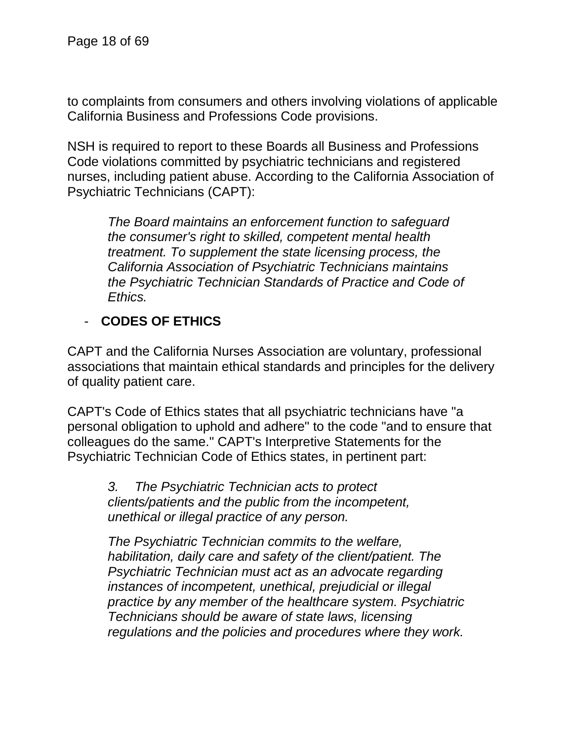to complaints from consumers and others involving violations of applicable California Business and Professions Code provisions.

NSH is required to report to these Boards all Business and Professions Code violations committed by psychiatric technicians and registered nurses, including patient abuse. According to the California Association of Psychiatric Technicians (CAPT):

*The Board maintains an enforcement function to safeguard the consumer's right to skilled, competent mental health treatment. To supplement the state licensing process, the California Association of Psychiatric Technicians maintains the Psychiatric Technician Standards of Practice and Code of Ethics.*

## - **CODES OF ETHICS**

CAPT and the California Nurses Association are voluntary, professional associations that maintain ethical standards and principles for the delivery of quality patient care.

CAPT's Code of Ethics states that all psychiatric technicians have "a personal obligation to uphold and adhere" to the code "and to ensure that colleagues do the same." CAPT's Interpretive Statements for the Psychiatric Technician Code of Ethics states, in pertinent part:

*3. The Psychiatric Technician acts to protect clients/patients and the public from the incompetent, unethical or illegal practice of any person.*

*The Psychiatric Technician commits to the welfare, habilitation, daily care and safety of the client/patient. The Psychiatric Technician must act as an advocate regarding instances of incompetent, unethical, prejudicial or illegal practice by any member of the healthcare system. Psychiatric Technicians should be aware of state laws, licensing regulations and the policies and procedures where they work.*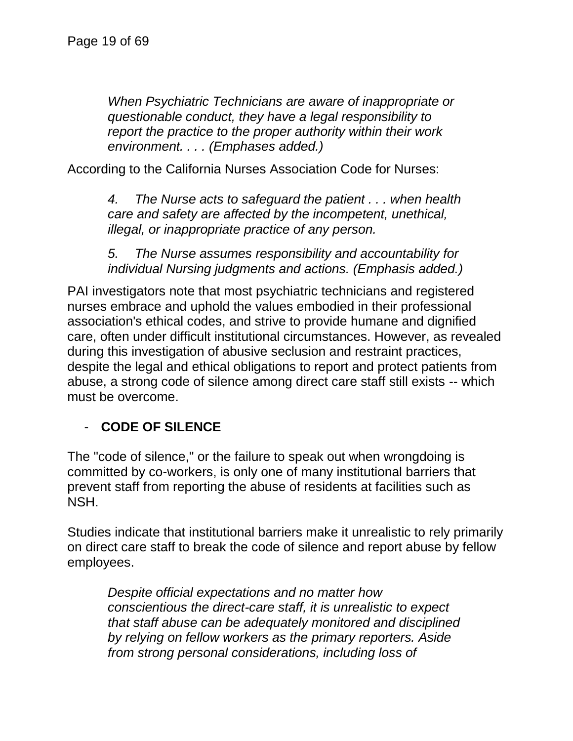*When Psychiatric Technicians are aware of inappropriate or questionable conduct, they have a legal responsibility to report the practice to the proper authority within their work environment. . . . (Emphases added.)*

According to the California Nurses Association Code for Nurses:

*4. The Nurse acts to safeguard the patient . . . when health care and safety are affected by the incompetent, unethical, illegal, or inappropriate practice of any person.*

*5. The Nurse assumes responsibility and accountability for individual Nursing judgments and actions. (Emphasis added.)*

PAI investigators note that most psychiatric technicians and registered nurses embrace and uphold the values embodied in their professional association's ethical codes, and strive to provide humane and dignified care, often under difficult institutional circumstances. However, as revealed during this investigation of abusive seclusion and restraint practices, despite the legal and ethical obligations to report and protect patients from abuse, a strong code of silence among direct care staff still exists -- which must be overcome.

### - **CODE OF SILENCE**

The "code of silence," or the failure to speak out when wrongdoing is committed by co-workers, is only one of many institutional barriers that prevent staff from reporting the abuse of residents at facilities such as NSH.

Studies indicate that institutional barriers make it unrealistic to rely primarily on direct care staff to break the code of silence and report abuse by fellow employees.

*Despite official expectations and no matter how conscientious the direct-care staff, it is unrealistic to expect that staff abuse can be adequately monitored and disciplined by relying on fellow workers as the primary reporters. Aside from strong personal considerations, including loss of*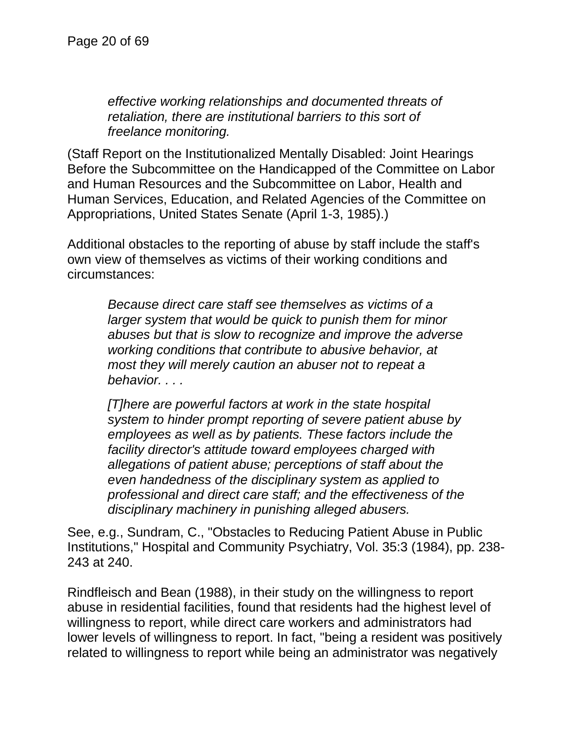*effective working relationships and documented threats of retaliation, there are institutional barriers to this sort of freelance monitoring.*

(Staff Report on the Institutionalized Mentally Disabled: Joint Hearings Before the Subcommittee on the Handicapped of the Committee on Labor and Human Resources and the Subcommittee on Labor, Health and Human Services, Education, and Related Agencies of the Committee on Appropriations, United States Senate (April 1-3, 1985).)

Additional obstacles to the reporting of abuse by staff include the staff's own view of themselves as victims of their working conditions and circumstances:

*Because direct care staff see themselves as victims of a larger system that would be quick to punish them for minor abuses but that is slow to recognize and improve the adverse working conditions that contribute to abusive behavior, at most they will merely caution an abuser not to repeat a behavior. . . .*

*[T]here are powerful factors at work in the state hospital system to hinder prompt reporting of severe patient abuse by employees as well as by patients. These factors include the facility director's attitude toward employees charged with allegations of patient abuse; perceptions of staff about the even handedness of the disciplinary system as applied to professional and direct care staff; and the effectiveness of the disciplinary machinery in punishing alleged abusers.*

See, e.g., Sundram, C., "Obstacles to Reducing Patient Abuse in Public Institutions," Hospital and Community Psychiatry, Vol. 35:3 (1984), pp. 238- 243 at 240.

Rindfleisch and Bean (1988), in their study on the willingness to report abuse in residential facilities, found that residents had the highest level of willingness to report, while direct care workers and administrators had lower levels of willingness to report. In fact, "being a resident was positively related to willingness to report while being an administrator was negatively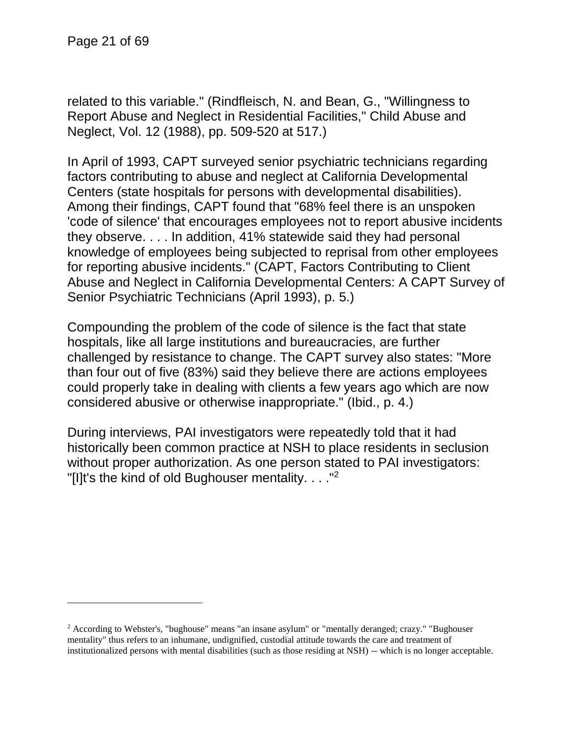l

related to this variable." (Rindfleisch, N. and Bean, G., "Willingness to Report Abuse and Neglect in Residential Facilities," Child Abuse and Neglect, Vol. 12 (1988), pp. 509-520 at 517.)

In April of 1993, CAPT surveyed senior psychiatric technicians regarding factors contributing to abuse and neglect at California Developmental Centers (state hospitals for persons with developmental disabilities). Among their findings, CAPT found that "68% feel there is an unspoken 'code of silence' that encourages employees not to report abusive incidents they observe. . . . In addition, 41% statewide said they had personal knowledge of employees being subjected to reprisal from other employees for reporting abusive incidents." (CAPT, Factors Contributing to Client Abuse and Neglect in California Developmental Centers: A CAPT Survey of Senior Psychiatric Technicians (April 1993), p. 5.)

Compounding the problem of the code of silence is the fact that state hospitals, like all large institutions and bureaucracies, are further challenged by resistance to change. The CAPT survey also states: "More than four out of five (83%) said they believe there are actions employees could properly take in dealing with clients a few years ago which are now considered abusive or otherwise inappropriate." (Ibid., p. 4.)

During interviews, PAI investigators were repeatedly told that it had historically been common practice at NSH to place residents in seclusion without proper authorization. As one person stated to PAI investigators: "[I]t's the kind of old Bughouser mentality.  $\ldots$ ."<sup>2</sup>

 $2$  According to Webster's, "bughouse" means "an insane asylum" or "mentally deranged; crazy." "Bughouser mentality" thus refers to an inhumane, undignified, custodial attitude towards the care and treatment of institutionalized persons with mental disabilities (such as those residing at NSH) -- which is no longer acceptable.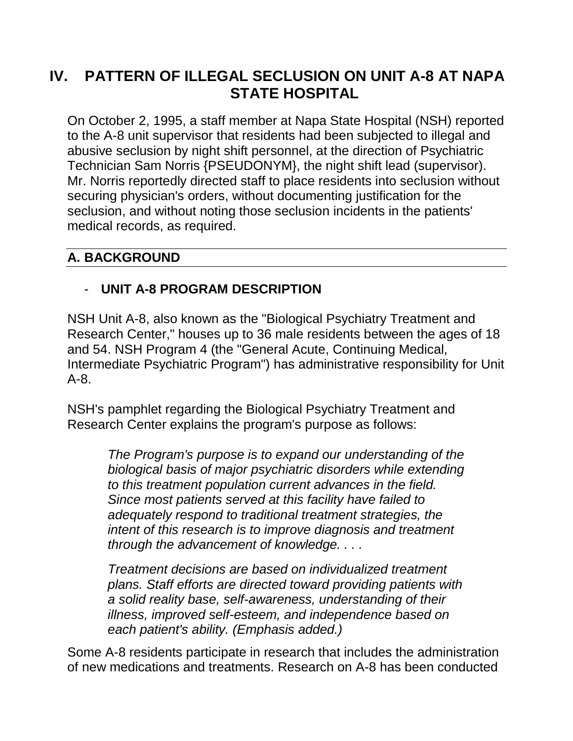# **IV. PATTERN OF ILLEGAL SECLUSION ON UNIT A-8 AT NAPA STATE HOSPITAL**

On October 2, 1995, a staff member at Napa State Hospital (NSH) reported to the A-8 unit supervisor that residents had been subjected to illegal and abusive seclusion by night shift personnel, at the direction of Psychiatric Technician Sam Norris {PSEUDONYM}, the night shift lead (supervisor). Mr. Norris reportedly directed staff to place residents into seclusion without securing physician's orders, without documenting justification for the seclusion, and without noting those seclusion incidents in the patients' medical records, as required.

## **A. BACKGROUND**

# - **UNIT A-8 PROGRAM DESCRIPTION**

NSH Unit A-8, also known as the "Biological Psychiatry Treatment and Research Center," houses up to 36 male residents between the ages of 18 and 54. NSH Program 4 (the "General Acute, Continuing Medical, Intermediate Psychiatric Program") has administrative responsibility for Unit A-8.

NSH's pamphlet regarding the Biological Psychiatry Treatment and Research Center explains the program's purpose as follows:

> *The Program's purpose is to expand our understanding of the biological basis of major psychiatric disorders while extending to this treatment population current advances in the field. Since most patients served at this facility have failed to adequately respond to traditional treatment strategies, the intent of this research is to improve diagnosis and treatment through the advancement of knowledge. . . .*

> *Treatment decisions are based on individualized treatment plans. Staff efforts are directed toward providing patients with a solid reality base, self-awareness, understanding of their illness, improved self-esteem, and independence based on each patient's ability. (Emphasis added.)*

Some A-8 residents participate in research that includes the administration of new medications and treatments. Research on A-8 has been conducted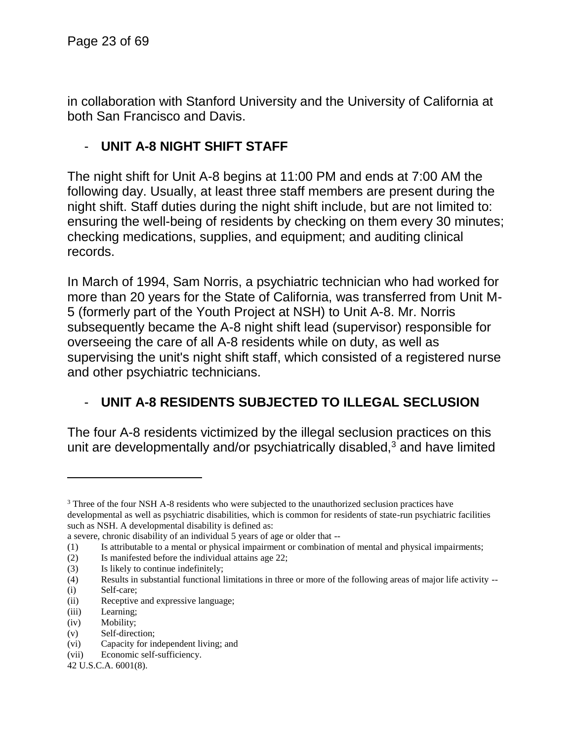in collaboration with Stanford University and the University of California at both San Francisco and Davis.

## - **UNIT A-8 NIGHT SHIFT STAFF**

The night shift for Unit A-8 begins at 11:00 PM and ends at 7:00 AM the following day. Usually, at least three staff members are present during the night shift. Staff duties during the night shift include, but are not limited to: ensuring the well-being of residents by checking on them every 30 minutes; checking medications, supplies, and equipment; and auditing clinical records.

In March of 1994, Sam Norris, a psychiatric technician who had worked for more than 20 years for the State of California, was transferred from Unit M-5 (formerly part of the Youth Project at NSH) to Unit A-8. Mr. Norris subsequently became the A-8 night shift lead (supervisor) responsible for overseeing the care of all A-8 residents while on duty, as well as supervising the unit's night shift staff, which consisted of a registered nurse and other psychiatric technicians.

# - **UNIT A-8 RESIDENTS SUBJECTED TO ILLEGAL SECLUSION**

The four A-8 residents victimized by the illegal seclusion practices on this unit are developmentally and/or psychiatrically disabled, $3$  and have limited

- (2) Is manifested before the individual attains age 22;
- (3) Is likely to continue indefinitely;

(i) Self-care;

l

- (ii) Receptive and expressive language;
- (iii) Learning;
- (iv) Mobility;
- (v) Self-direction;
- (vi) Capacity for independent living; and

<sup>&</sup>lt;sup>3</sup> Three of the four NSH A-8 residents who were subjected to the unauthorized seclusion practices have developmental as well as psychiatric disabilities, which is common for residents of state-run psychiatric facilities such as NSH. A developmental disability is defined as:

a severe, chronic disability of an individual 5 years of age or older that --

<sup>(1)</sup> Is attributable to a mental or physical impairment or combination of mental and physical impairments;

<sup>(4)</sup> Results in substantial functional limitations in three or more of the following areas of major life activity --

<sup>(</sup>vii) Economic self-sufficiency.

<sup>42</sup> U.S.C.A. 6001(8).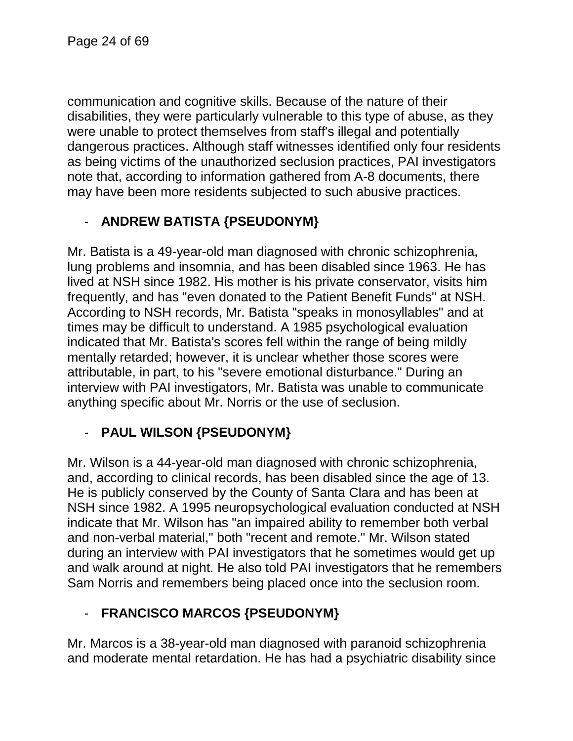communication and cognitive skills. Because of the nature of their disabilities, they were particularly vulnerable to this type of abuse, as they were unable to protect themselves from staff's illegal and potentially dangerous practices. Although staff witnesses identified only four residents as being victims of the unauthorized seclusion practices, PAI investigators note that, according to information gathered from A-8 documents, there may have been more residents subjected to such abusive practices.

# - **ANDREW BATISTA {PSEUDONYM}**

Mr. Batista is a 49-year-old man diagnosed with chronic schizophrenia, lung problems and insomnia, and has been disabled since 1963. He has lived at NSH since 1982. His mother is his private conservator, visits him frequently, and has "even donated to the Patient Benefit Funds" at NSH. According to NSH records, Mr. Batista "speaks in monosyllables" and at times may be difficult to understand. A 1985 psychological evaluation indicated that Mr. Batista's scores fell within the range of being mildly mentally retarded; however, it is unclear whether those scores were attributable, in part, to his "severe emotional disturbance." During an interview with PAI investigators, Mr. Batista was unable to communicate anything specific about Mr. Norris or the use of seclusion.

# - **PAUL WILSON {PSEUDONYM}**

Mr. Wilson is a 44-year-old man diagnosed with chronic schizophrenia, and, according to clinical records, has been disabled since the age of 13. He is publicly conserved by the County of Santa Clara and has been at NSH since 1982. A 1995 neuropsychological evaluation conducted at NSH indicate that Mr. Wilson has "an impaired ability to remember both verbal and non-verbal material," both "recent and remote." Mr. Wilson stated during an interview with PAI investigators that he sometimes would get up and walk around at night. He also told PAI investigators that he remembers Sam Norris and remembers being placed once into the seclusion room.

# - **FRANCISCO MARCOS {PSEUDONYM}**

Mr. Marcos is a 38-year-old man diagnosed with paranoid schizophrenia and moderate mental retardation. He has had a psychiatric disability since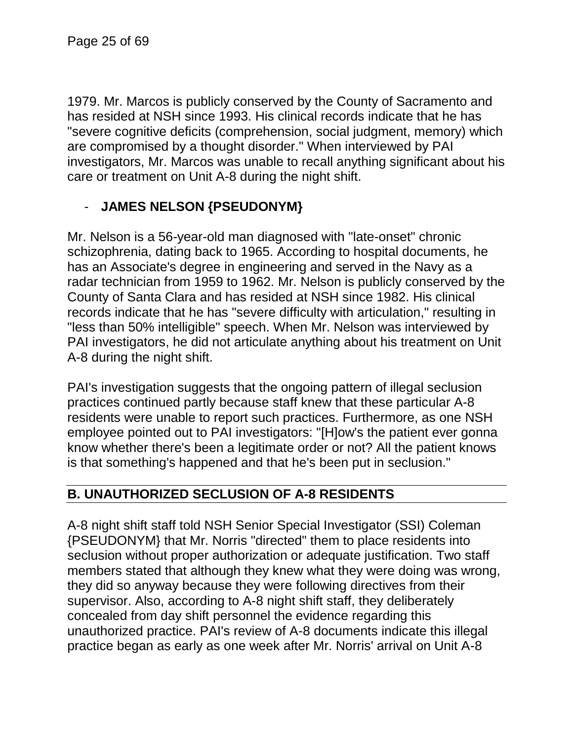1979. Mr. Marcos is publicly conserved by the County of Sacramento and has resided at NSH since 1993. His clinical records indicate that he has "severe cognitive deficits (comprehension, social judgment, memory) which are compromised by a thought disorder." When interviewed by PAI investigators, Mr. Marcos was unable to recall anything significant about his care or treatment on Unit A-8 during the night shift.

# - **JAMES NELSON {PSEUDONYM}**

Mr. Nelson is a 56-year-old man diagnosed with "late-onset" chronic schizophrenia, dating back to 1965. According to hospital documents, he has an Associate's degree in engineering and served in the Navy as a radar technician from 1959 to 1962. Mr. Nelson is publicly conserved by the County of Santa Clara and has resided at NSH since 1982. His clinical records indicate that he has "severe difficulty with articulation," resulting in "less than 50% intelligible" speech. When Mr. Nelson was interviewed by PAI investigators, he did not articulate anything about his treatment on Unit A-8 during the night shift.

PAI's investigation suggests that the ongoing pattern of illegal seclusion practices continued partly because staff knew that these particular A-8 residents were unable to report such practices. Furthermore, as one NSH employee pointed out to PAI investigators: "[H]ow's the patient ever gonna know whether there's been a legitimate order or not? All the patient knows is that something's happened and that he's been put in seclusion."

# **B. UNAUTHORIZED SECLUSION OF A-8 RESIDENTS**

A-8 night shift staff told NSH Senior Special Investigator (SSI) Coleman {PSEUDONYM} that Mr. Norris "directed" them to place residents into seclusion without proper authorization or adequate justification. Two staff members stated that although they knew what they were doing was wrong, they did so anyway because they were following directives from their supervisor. Also, according to A-8 night shift staff, they deliberately concealed from day shift personnel the evidence regarding this unauthorized practice. PAI's review of A-8 documents indicate this illegal practice began as early as one week after Mr. Norris' arrival on Unit A-8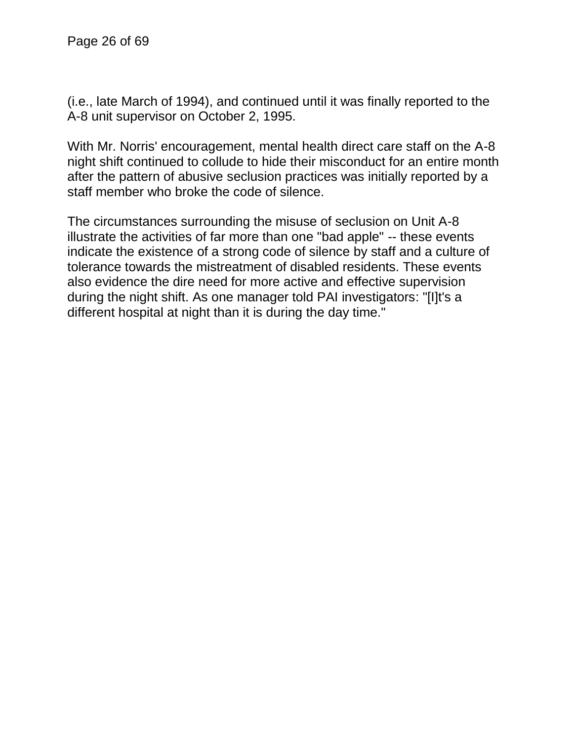(i.e., late March of 1994), and continued until it was finally reported to the A-8 unit supervisor on October 2, 1995.

With Mr. Norris' encouragement, mental health direct care staff on the A-8 night shift continued to collude to hide their misconduct for an entire month after the pattern of abusive seclusion practices was initially reported by a staff member who broke the code of silence.

The circumstances surrounding the misuse of seclusion on Unit A-8 illustrate the activities of far more than one "bad apple" -- these events indicate the existence of a strong code of silence by staff and a culture of tolerance towards the mistreatment of disabled residents. These events also evidence the dire need for more active and effective supervision during the night shift. As one manager told PAI investigators: "[I]t's a different hospital at night than it is during the day time."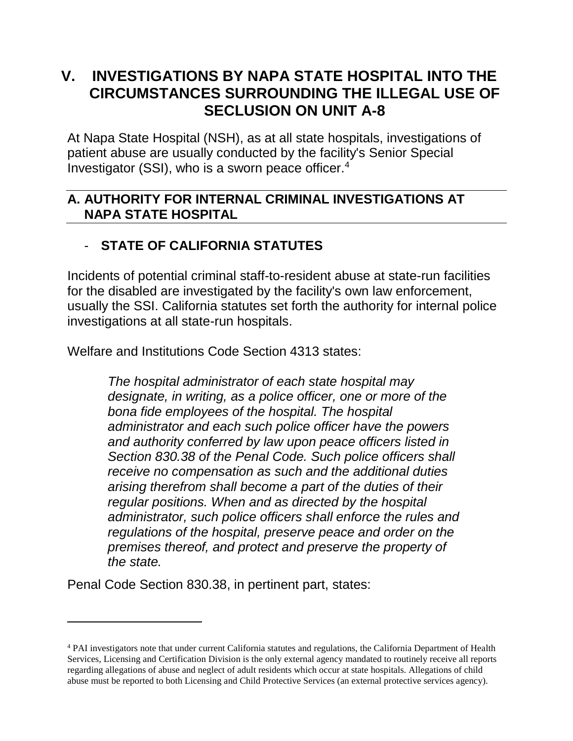# **V. INVESTIGATIONS BY NAPA STATE HOSPITAL INTO THE CIRCUMSTANCES SURROUNDING THE ILLEGAL USE OF SECLUSION ON UNIT A-8**

At Napa State Hospital (NSH), as at all state hospitals, investigations of patient abuse are usually conducted by the facility's Senior Special Investigator (SSI), who is a sworn peace officer.<sup>4</sup>

#### **A. AUTHORITY FOR INTERNAL CRIMINAL INVESTIGATIONS AT NAPA STATE HOSPITAL**

# - **STATE OF CALIFORNIA STATUTES**

Incidents of potential criminal staff-to-resident abuse at state-run facilities for the disabled are investigated by the facility's own law enforcement, usually the SSI. California statutes set forth the authority for internal police investigations at all state-run hospitals.

Welfare and Institutions Code Section 4313 states:

*The hospital administrator of each state hospital may designate, in writing, as a police officer, one or more of the bona fide employees of the hospital. The hospital administrator and each such police officer have the powers and authority conferred by law upon peace officers listed in Section 830.38 of the Penal Code. Such police officers shall receive no compensation as such and the additional duties arising therefrom shall become a part of the duties of their regular positions. When and as directed by the hospital administrator, such police officers shall enforce the rules and regulations of the hospital, preserve peace and order on the premises thereof, and protect and preserve the property of the state.*

Penal Code Section 830.38, in pertinent part, states:

<sup>4</sup> PAI investigators note that under current California statutes and regulations, the California Department of Health Services, Licensing and Certification Division is the only external agency mandated to routinely receive all reports regarding allegations of abuse and neglect of adult residents which occur at state hospitals. Allegations of child abuse must be reported to both Licensing and Child Protective Services (an external protective services agency).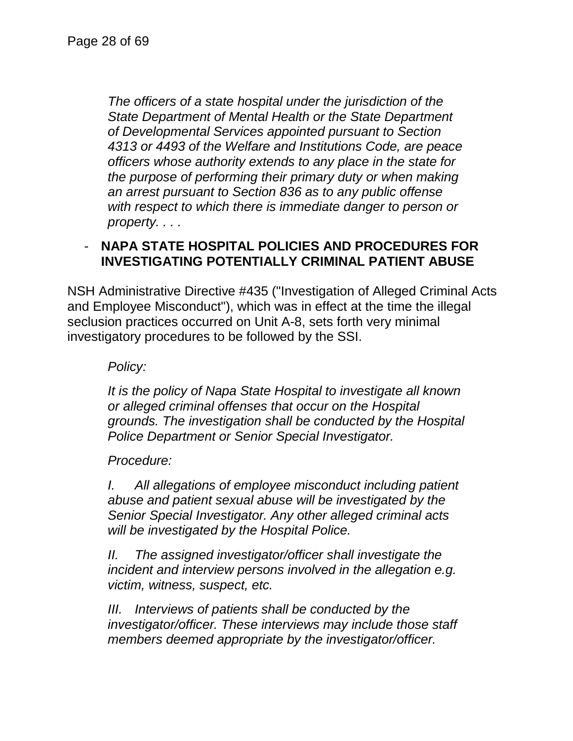*The officers of a state hospital under the jurisdiction of the State Department of Mental Health or the State Department of Developmental Services appointed pursuant to Section 4313 or 4493 of the Welfare and Institutions Code, are peace officers whose authority extends to any place in the state for the purpose of performing their primary duty or when making an arrest pursuant to Section 836 as to any public offense with respect to which there is immediate danger to person or property. . . .*

### - **NAPA STATE HOSPITAL POLICIES AND PROCEDURES FOR INVESTIGATING POTENTIALLY CRIMINAL PATIENT ABUSE**

NSH Administrative Directive #435 ("Investigation of Alleged Criminal Acts and Employee Misconduct"), which was in effect at the time the illegal seclusion practices occurred on Unit A-8, sets forth very minimal investigatory procedures to be followed by the SSI.

*Policy:*

*It is the policy of Napa State Hospital to investigate all known or alleged criminal offenses that occur on the Hospital grounds. The investigation shall be conducted by the Hospital Police Department or Senior Special Investigator.*

*Procedure:*

*I. All allegations of employee misconduct including patient abuse and patient sexual abuse will be investigated by the Senior Special Investigator. Any other alleged criminal acts will be investigated by the Hospital Police.*

*II. The assigned investigator/officer shall investigate the incident and interview persons involved in the allegation e.g. victim, witness, suspect, etc.*

*III. Interviews of patients shall be conducted by the investigator/officer. These interviews may include those staff members deemed appropriate by the investigator/officer.*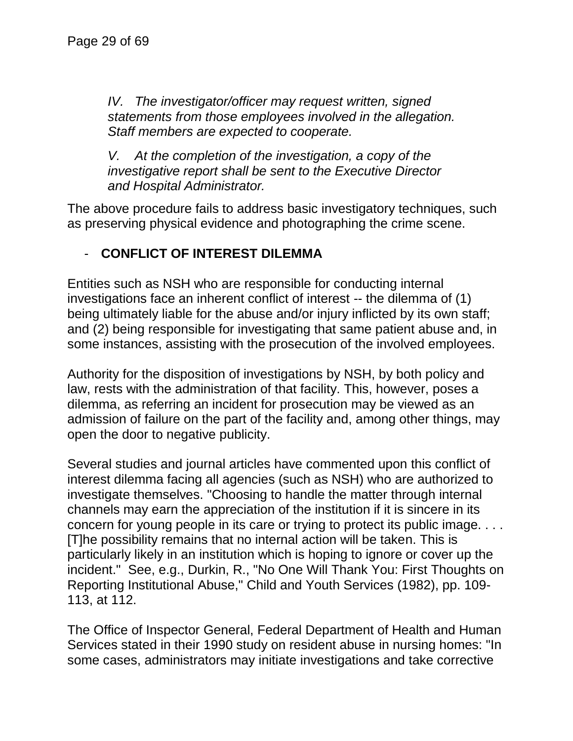*IV. The investigator/officer may request written, signed statements from those employees involved in the allegation. Staff members are expected to cooperate.*

*V. At the completion of the investigation, a copy of the investigative report shall be sent to the Executive Director and Hospital Administrator.*

The above procedure fails to address basic investigatory techniques, such as preserving physical evidence and photographing the crime scene.

# - **CONFLICT OF INTEREST DILEMMA**

Entities such as NSH who are responsible for conducting internal investigations face an inherent conflict of interest -- the dilemma of (1) being ultimately liable for the abuse and/or injury inflicted by its own staff; and (2) being responsible for investigating that same patient abuse and, in some instances, assisting with the prosecution of the involved employees.

Authority for the disposition of investigations by NSH, by both policy and law, rests with the administration of that facility. This, however, poses a dilemma, as referring an incident for prosecution may be viewed as an admission of failure on the part of the facility and, among other things, may open the door to negative publicity.

Several studies and journal articles have commented upon this conflict of interest dilemma facing all agencies (such as NSH) who are authorized to investigate themselves. "Choosing to handle the matter through internal channels may earn the appreciation of the institution if it is sincere in its concern for young people in its care or trying to protect its public image. . . . [T]he possibility remains that no internal action will be taken. This is particularly likely in an institution which is hoping to ignore or cover up the incident." See, e.g., Durkin, R., "No One Will Thank You: First Thoughts on Reporting Institutional Abuse," Child and Youth Services (1982), pp. 109- 113, at 112.

The Office of Inspector General, Federal Department of Health and Human Services stated in their 1990 study on resident abuse in nursing homes: "In some cases, administrators may initiate investigations and take corrective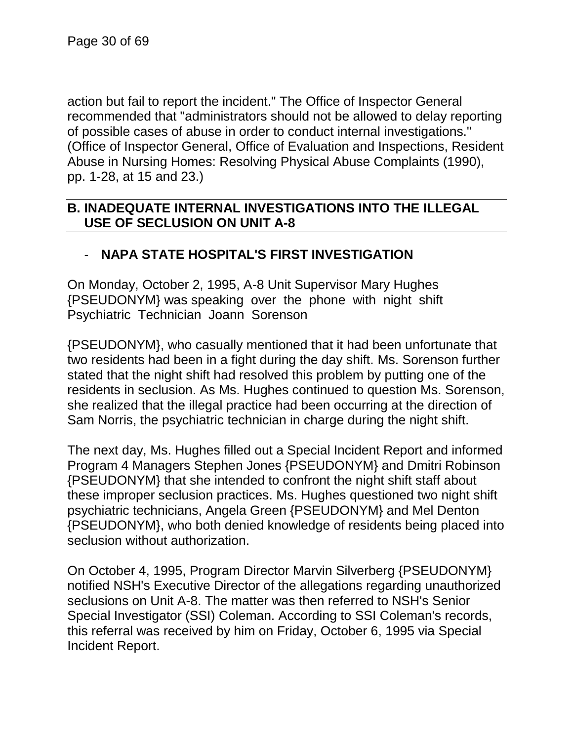action but fail to report the incident." The Office of Inspector General recommended that "administrators should not be allowed to delay reporting of possible cases of abuse in order to conduct internal investigations." (Office of Inspector General, Office of Evaluation and Inspections, Resident Abuse in Nursing Homes: Resolving Physical Abuse Complaints (1990), pp. 1-28, at 15 and 23.)

### **B. INADEQUATE INTERNAL INVESTIGATIONS INTO THE ILLEGAL USE OF SECLUSION ON UNIT A-8**

### - **NAPA STATE HOSPITAL'S FIRST INVESTIGATION**

On Monday, October 2, 1995, A-8 Unit Supervisor Mary Hughes {PSEUDONYM} was speaking over the phone with night shift Psychiatric Technician Joann Sorenson

{PSEUDONYM}, who casually mentioned that it had been unfortunate that two residents had been in a fight during the day shift. Ms. Sorenson further stated that the night shift had resolved this problem by putting one of the residents in seclusion. As Ms. Hughes continued to question Ms. Sorenson, she realized that the illegal practice had been occurring at the direction of Sam Norris, the psychiatric technician in charge during the night shift.

The next day, Ms. Hughes filled out a Special Incident Report and informed Program 4 Managers Stephen Jones {PSEUDONYM} and Dmitri Robinson {PSEUDONYM} that she intended to confront the night shift staff about these improper seclusion practices. Ms. Hughes questioned two night shift psychiatric technicians, Angela Green {PSEUDONYM} and Mel Denton {PSEUDONYM}, who both denied knowledge of residents being placed into seclusion without authorization.

On October 4, 1995, Program Director Marvin Silverberg {PSEUDONYM} notified NSH's Executive Director of the allegations regarding unauthorized seclusions on Unit A-8. The matter was then referred to NSH's Senior Special Investigator (SSI) Coleman. According to SSI Coleman's records, this referral was received by him on Friday, October 6, 1995 via Special Incident Report.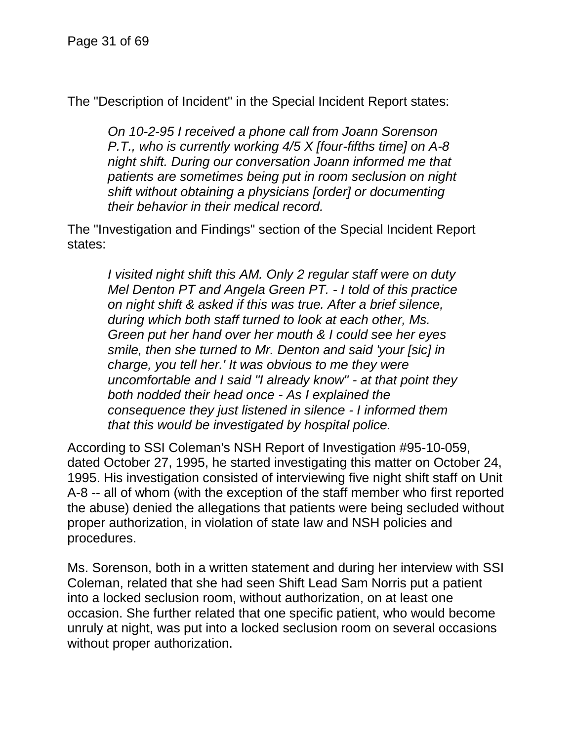The "Description of Incident" in the Special Incident Report states:

*On 10-2-95 I received a phone call from Joann Sorenson P.T., who is currently working 4/5 X [four-fifths time] on A-8 night shift. During our conversation Joann informed me that patients are sometimes being put in room seclusion on night shift without obtaining a physicians [order] or documenting their behavior in their medical record.*

The "Investigation and Findings" section of the Special Incident Report states:

*I visited night shift this AM. Only 2 regular staff were on duty Mel Denton PT and Angela Green PT. - I told of this practice on night shift & asked if this was true. After a brief silence, during which both staff turned to look at each other, Ms. Green put her hand over her mouth & I could see her eyes smile, then she turned to Mr. Denton and said 'your [sic] in charge, you tell her.' It was obvious to me they were uncomfortable and I said "I already know" - at that point they both nodded their head once - As I explained the consequence they just listened in silence - I informed them that this would be investigated by hospital police.*

According to SSI Coleman's NSH Report of Investigation #95-10-059, dated October 27, 1995, he started investigating this matter on October 24, 1995. His investigation consisted of interviewing five night shift staff on Unit A-8 -- all of whom (with the exception of the staff member who first reported the abuse) denied the allegations that patients were being secluded without proper authorization, in violation of state law and NSH policies and procedures.

Ms. Sorenson, both in a written statement and during her interview with SSI Coleman, related that she had seen Shift Lead Sam Norris put a patient into a locked seclusion room, without authorization, on at least one occasion. She further related that one specific patient, who would become unruly at night, was put into a locked seclusion room on several occasions without proper authorization.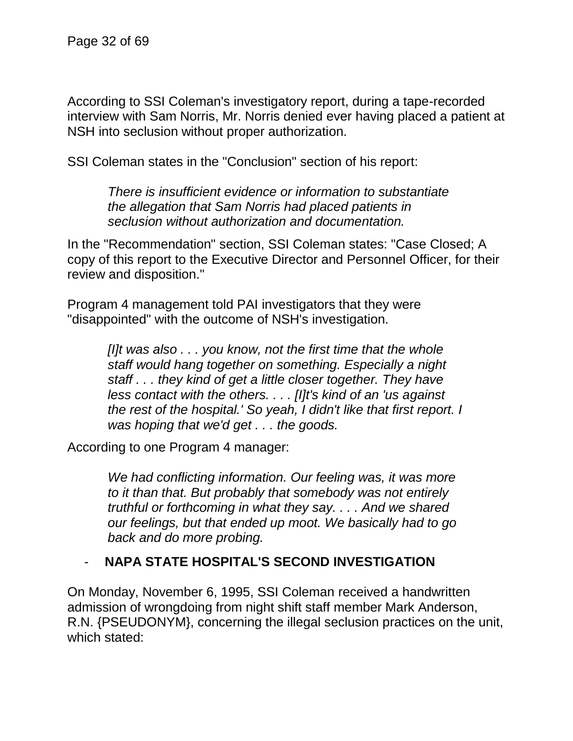According to SSI Coleman's investigatory report, during a tape-recorded interview with Sam Norris, Mr. Norris denied ever having placed a patient at NSH into seclusion without proper authorization.

SSI Coleman states in the "Conclusion" section of his report:

*There is insufficient evidence or information to substantiate the allegation that Sam Norris had placed patients in seclusion without authorization and documentation.*

In the "Recommendation" section, SSI Coleman states: "Case Closed; A copy of this report to the Executive Director and Personnel Officer, for their review and disposition."

Program 4 management told PAI investigators that they were "disappointed" with the outcome of NSH's investigation.

> *[I]t was also . . . you know, not the first time that the whole staff would hang together on something. Especially a night staff . . . they kind of get a little closer together. They have less contact with the others. . . . [I]t's kind of an 'us against the rest of the hospital.' So yeah, I didn't like that first report. I was hoping that we'd get . . . the goods.*

According to one Program 4 manager:

*We had conflicting information. Our feeling was, it was more to it than that. But probably that somebody was not entirely truthful or forthcoming in what they say. . . . And we shared our feelings, but that ended up moot. We basically had to go back and do more probing.*

### - **NAPA STATE HOSPITAL'S SECOND INVESTIGATION**

On Monday, November 6, 1995, SSI Coleman received a handwritten admission of wrongdoing from night shift staff member Mark Anderson, R.N. {PSEUDONYM}, concerning the illegal seclusion practices on the unit, which stated: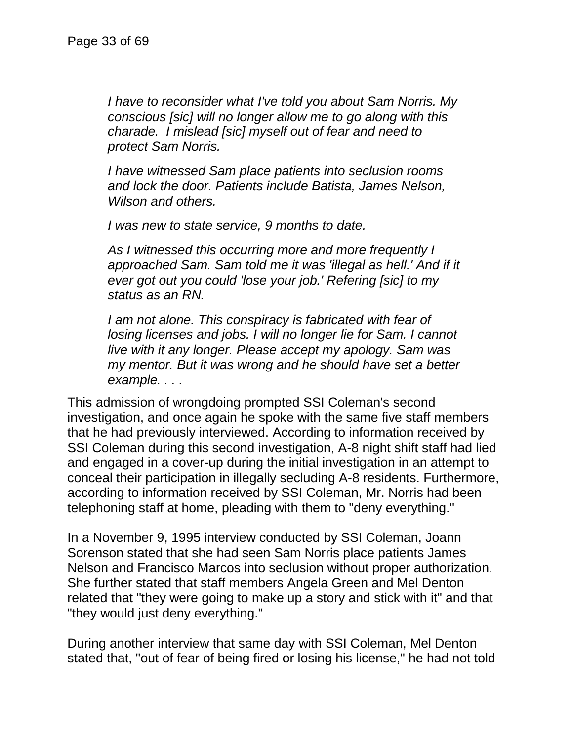*I have to reconsider what I've told you about Sam Norris. My conscious [sic] will no longer allow me to go along with this charade. I mislead [sic] myself out of fear and need to protect Sam Norris.*

*I have witnessed Sam place patients into seclusion rooms and lock the door. Patients include Batista, James Nelson, Wilson and others.*

*I was new to state service, 9 months to date.*

*As I witnessed this occurring more and more frequently I approached Sam. Sam told me it was 'illegal as hell.' And if it ever got out you could 'lose your job.' Refering [sic] to my status as an RN.*

*I am not alone. This conspiracy is fabricated with fear of losing licenses and jobs. I will no longer lie for Sam. I cannot live with it any longer. Please accept my apology. Sam was my mentor. But it was wrong and he should have set a better example. . . .*

This admission of wrongdoing prompted SSI Coleman's second investigation, and once again he spoke with the same five staff members that he had previously interviewed. According to information received by SSI Coleman during this second investigation, A-8 night shift staff had lied and engaged in a cover-up during the initial investigation in an attempt to conceal their participation in illegally secluding A-8 residents. Furthermore, according to information received by SSI Coleman, Mr. Norris had been telephoning staff at home, pleading with them to "deny everything."

In a November 9, 1995 interview conducted by SSI Coleman, Joann Sorenson stated that she had seen Sam Norris place patients James Nelson and Francisco Marcos into seclusion without proper authorization. She further stated that staff members Angela Green and Mel Denton related that "they were going to make up a story and stick with it" and that "they would just deny everything."

During another interview that same day with SSI Coleman, Mel Denton stated that, "out of fear of being fired or losing his license," he had not told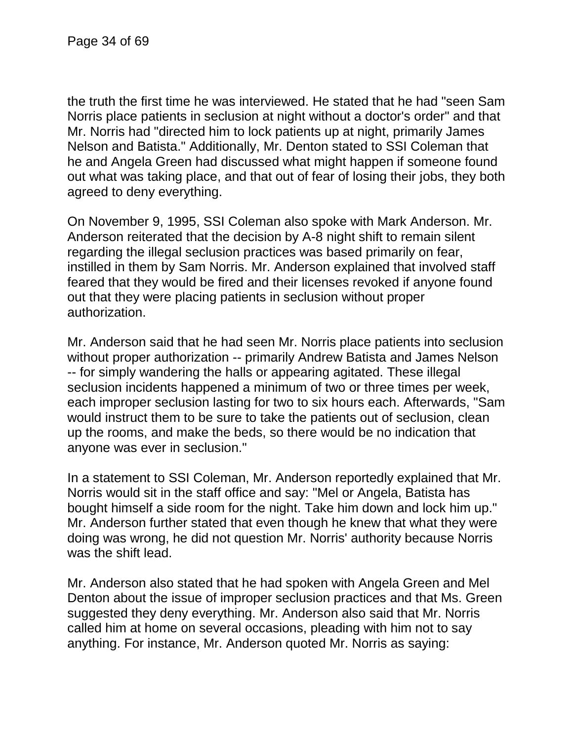the truth the first time he was interviewed. He stated that he had "seen Sam Norris place patients in seclusion at night without a doctor's order" and that Mr. Norris had "directed him to lock patients up at night, primarily James Nelson and Batista." Additionally, Mr. Denton stated to SSI Coleman that he and Angela Green had discussed what might happen if someone found out what was taking place, and that out of fear of losing their jobs, they both agreed to deny everything.

On November 9, 1995, SSI Coleman also spoke with Mark Anderson. Mr. Anderson reiterated that the decision by A-8 night shift to remain silent regarding the illegal seclusion practices was based primarily on fear, instilled in them by Sam Norris. Mr. Anderson explained that involved staff feared that they would be fired and their licenses revoked if anyone found out that they were placing patients in seclusion without proper authorization.

Mr. Anderson said that he had seen Mr. Norris place patients into seclusion without proper authorization -- primarily Andrew Batista and James Nelson -- for simply wandering the halls or appearing agitated. These illegal seclusion incidents happened a minimum of two or three times per week, each improper seclusion lasting for two to six hours each. Afterwards, "Sam would instruct them to be sure to take the patients out of seclusion, clean up the rooms, and make the beds, so there would be no indication that anyone was ever in seclusion."

In a statement to SSI Coleman, Mr. Anderson reportedly explained that Mr. Norris would sit in the staff office and say: "Mel or Angela, Batista has bought himself a side room for the night. Take him down and lock him up." Mr. Anderson further stated that even though he knew that what they were doing was wrong, he did not question Mr. Norris' authority because Norris was the shift lead.

Mr. Anderson also stated that he had spoken with Angela Green and Mel Denton about the issue of improper seclusion practices and that Ms. Green suggested they deny everything. Mr. Anderson also said that Mr. Norris called him at home on several occasions, pleading with him not to say anything. For instance, Mr. Anderson quoted Mr. Norris as saying: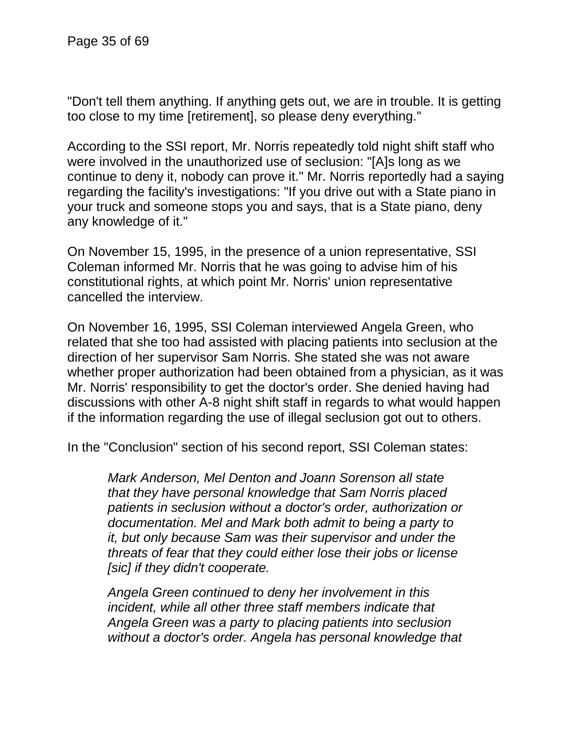"Don't tell them anything. If anything gets out, we are in trouble. It is getting too close to my time [retirement], so please deny everything."

According to the SSI report, Mr. Norris repeatedly told night shift staff who were involved in the unauthorized use of seclusion: "[A]s long as we continue to deny it, nobody can prove it." Mr. Norris reportedly had a saying regarding the facility's investigations: "If you drive out with a State piano in your truck and someone stops you and says, that is a State piano, deny any knowledge of it."

On November 15, 1995, in the presence of a union representative, SSI Coleman informed Mr. Norris that he was going to advise him of his constitutional rights, at which point Mr. Norris' union representative cancelled the interview.

On November 16, 1995, SSI Coleman interviewed Angela Green, who related that she too had assisted with placing patients into seclusion at the direction of her supervisor Sam Norris. She stated she was not aware whether proper authorization had been obtained from a physician, as it was Mr. Norris' responsibility to get the doctor's order. She denied having had discussions with other A-8 night shift staff in regards to what would happen if the information regarding the use of illegal seclusion got out to others.

In the "Conclusion" section of his second report, SSI Coleman states:

*Mark Anderson, Mel Denton and Joann Sorenson all state that they have personal knowledge that Sam Norris placed patients in seclusion without a doctor's order, authorization or documentation. Mel and Mark both admit to being a party to it, but only because Sam was their supervisor and under the threats of fear that they could either lose their jobs or license [sic] if they didn't cooperate.*

*Angela Green continued to deny her involvement in this incident, while all other three staff members indicate that Angela Green was a party to placing patients into seclusion without a doctor's order. Angela has personal knowledge that*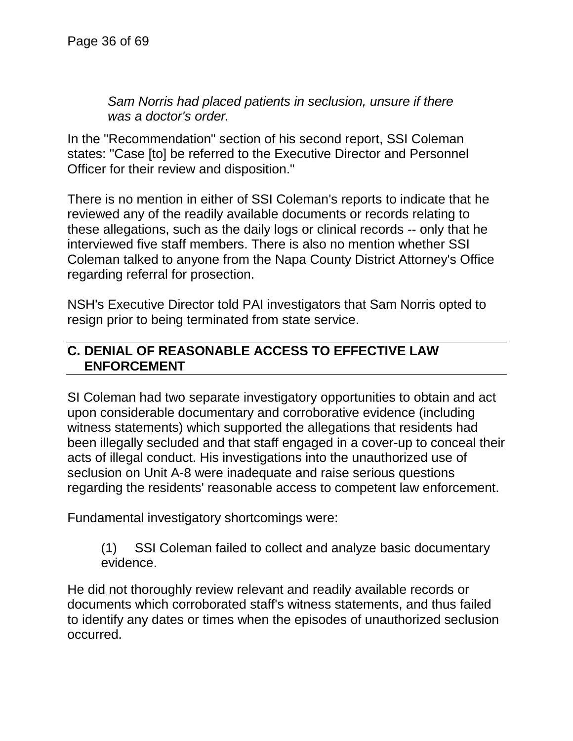*Sam Norris had placed patients in seclusion, unsure if there was a doctor's order.*

In the "Recommendation" section of his second report, SSI Coleman states: "Case [to] be referred to the Executive Director and Personnel Officer for their review and disposition."

There is no mention in either of SSI Coleman's reports to indicate that he reviewed any of the readily available documents or records relating to these allegations, such as the daily logs or clinical records -- only that he interviewed five staff members. There is also no mention whether SSI Coleman talked to anyone from the Napa County District Attorney's Office regarding referral for prosection.

NSH's Executive Director told PAI investigators that Sam Norris opted to resign prior to being terminated from state service.

### **C. DENIAL OF REASONABLE ACCESS TO EFFECTIVE LAW ENFORCEMENT**

SI Coleman had two separate investigatory opportunities to obtain and act upon considerable documentary and corroborative evidence (including witness statements) which supported the allegations that residents had been illegally secluded and that staff engaged in a cover-up to conceal their acts of illegal conduct. His investigations into the unauthorized use of seclusion on Unit A-8 were inadequate and raise serious questions regarding the residents' reasonable access to competent law enforcement.

Fundamental investigatory shortcomings were:

(1) SSI Coleman failed to collect and analyze basic documentary evidence.

He did not thoroughly review relevant and readily available records or documents which corroborated staff's witness statements, and thus failed to identify any dates or times when the episodes of unauthorized seclusion occurred.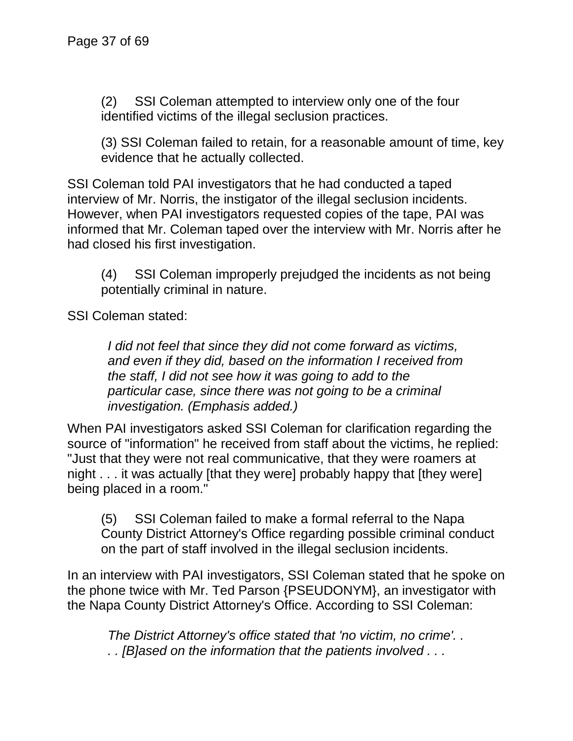(2) SSI Coleman attempted to interview only one of the four identified victims of the illegal seclusion practices.

(3) SSI Coleman failed to retain, for a reasonable amount of time, key evidence that he actually collected.

SSI Coleman told PAI investigators that he had conducted a taped interview of Mr. Norris, the instigator of the illegal seclusion incidents. However, when PAI investigators requested copies of the tape, PAI was informed that Mr. Coleman taped over the interview with Mr. Norris after he had closed his first investigation.

(4) SSI Coleman improperly prejudged the incidents as not being potentially criminal in nature.

SSI Coleman stated:

*I did not feel that since they did not come forward as victims, and even if they did, based on the information I received from the staff, I did not see how it was going to add to the particular case, since there was not going to be a criminal investigation. (Emphasis added.)*

When PAI investigators asked SSI Coleman for clarification regarding the source of "information" he received from staff about the victims, he replied: "Just that they were not real communicative, that they were roamers at night . . . it was actually [that they were] probably happy that [they were] being placed in a room."

(5) SSI Coleman failed to make a formal referral to the Napa County District Attorney's Office regarding possible criminal conduct on the part of staff involved in the illegal seclusion incidents.

In an interview with PAI investigators, SSI Coleman stated that he spoke on the phone twice with Mr. Ted Parson {PSEUDONYM}, an investigator with the Napa County District Attorney's Office. According to SSI Coleman:

*The District Attorney's office stated that 'no victim, no crime'. . . . [B]ased on the information that the patients involved . . .*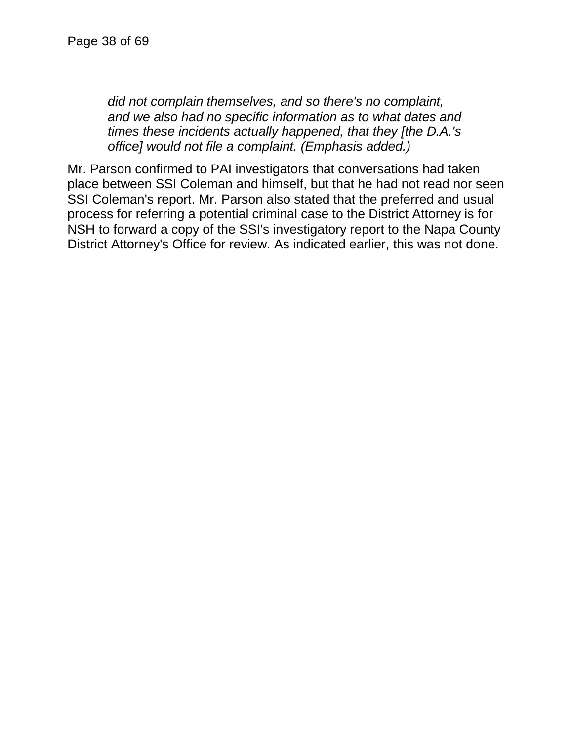*did not complain themselves, and so there's no complaint, and we also had no specific information as to what dates and times these incidents actually happened, that they [the D.A.'s office] would not file a complaint. (Emphasis added.)*

Mr. Parson confirmed to PAI investigators that conversations had taken place between SSI Coleman and himself, but that he had not read nor seen SSI Coleman's report. Mr. Parson also stated that the preferred and usual process for referring a potential criminal case to the District Attorney is for NSH to forward a copy of the SSI's investigatory report to the Napa County District Attorney's Office for review. As indicated earlier, this was not done.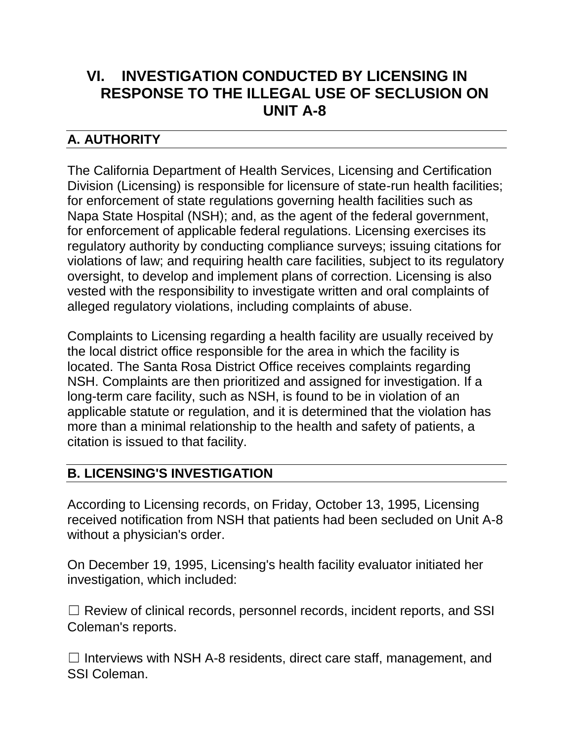# **VI. INVESTIGATION CONDUCTED BY LICENSING IN RESPONSE TO THE ILLEGAL USE OF SECLUSION ON UNIT A-8**

# **A. AUTHORITY**

The California Department of Health Services, Licensing and Certification Division (Licensing) is responsible for licensure of state-run health facilities; for enforcement of state regulations governing health facilities such as Napa State Hospital (NSH); and, as the agent of the federal government, for enforcement of applicable federal regulations. Licensing exercises its regulatory authority by conducting compliance surveys; issuing citations for violations of law; and requiring health care facilities, subject to its regulatory oversight, to develop and implement plans of correction. Licensing is also vested with the responsibility to investigate written and oral complaints of alleged regulatory violations, including complaints of abuse.

Complaints to Licensing regarding a health facility are usually received by the local district office responsible for the area in which the facility is located. The Santa Rosa District Office receives complaints regarding NSH. Complaints are then prioritized and assigned for investigation. If a long-term care facility, such as NSH, is found to be in violation of an applicable statute or regulation, and it is determined that the violation has more than a minimal relationship to the health and safety of patients, a citation is issued to that facility.

# **B. LICENSING'S INVESTIGATION**

According to Licensing records, on Friday, October 13, 1995, Licensing received notification from NSH that patients had been secluded on Unit A-8 without a physician's order.

On December 19, 1995, Licensing's health facility evaluator initiated her investigation, which included:

 $\Box$  Review of clinical records, personnel records, incident reports, and SSI Coleman's reports.

 $\Box$  Interviews with NSH A-8 residents, direct care staff, management, and SSI Coleman.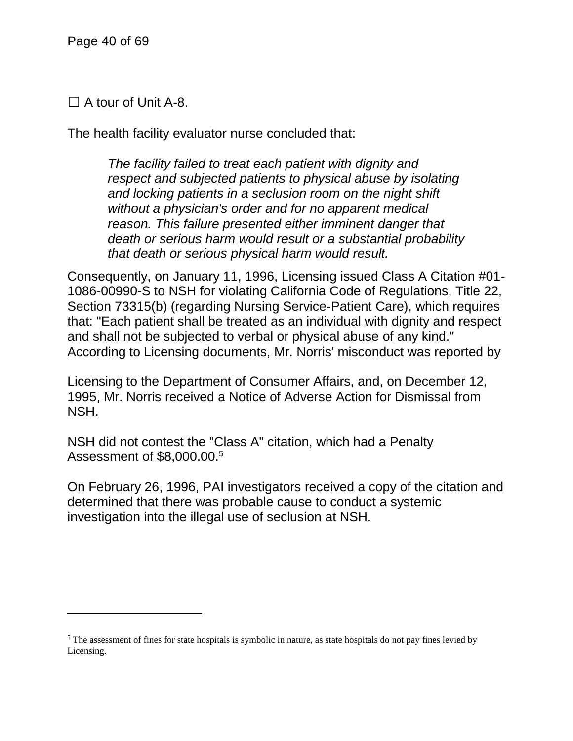$\Box$  A tour of Unit A-8.

The health facility evaluator nurse concluded that:

*The facility failed to treat each patient with dignity and respect and subjected patients to physical abuse by isolating and locking patients in a seclusion room on the night shift without a physician's order and for no apparent medical reason. This failure presented either imminent danger that death or serious harm would result or a substantial probability that death or serious physical harm would result.*

Consequently, on January 11, 1996, Licensing issued Class A Citation #01- 1086-00990-S to NSH for violating California Code of Regulations, Title 22, Section 73315(b) (regarding Nursing Service-Patient Care), which requires that: "Each patient shall be treated as an individual with dignity and respect and shall not be subjected to verbal or physical abuse of any kind." According to Licensing documents, Mr. Norris' misconduct was reported by

Licensing to the Department of Consumer Affairs, and, on December 12, 1995, Mr. Norris received a Notice of Adverse Action for Dismissal from NSH.

NSH did not contest the "Class A" citation, which had a Penalty Assessment of \$8,000.00.<sup>5</sup>

On February 26, 1996, PAI investigators received a copy of the citation and determined that there was probable cause to conduct a systemic investigation into the illegal use of seclusion at NSH.

<sup>&</sup>lt;sup>5</sup> The assessment of fines for state hospitals is symbolic in nature, as state hospitals do not pay fines levied by Licensing.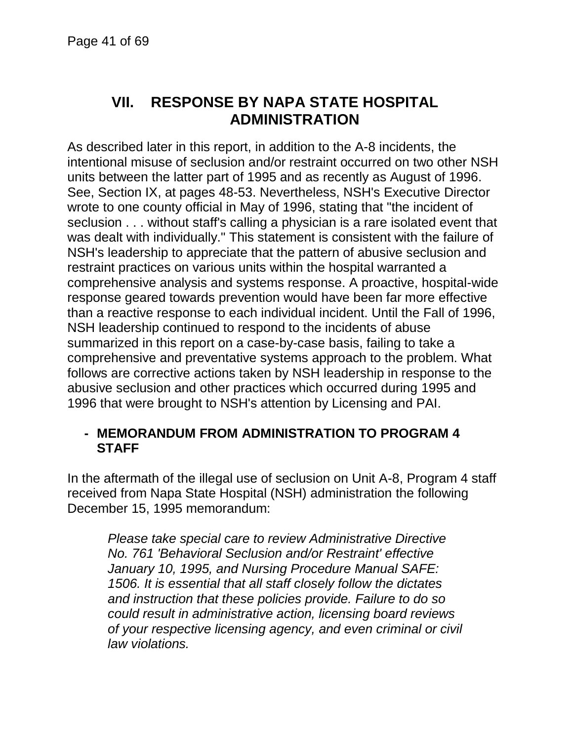# **VII. RESPONSE BY NAPA STATE HOSPITAL ADMINISTRATION**

As described later in this report, in addition to the A-8 incidents, the intentional misuse of seclusion and/or restraint occurred on two other NSH units between the latter part of 1995 and as recently as August of 1996. See, Section IX, at pages 48-53. Nevertheless, NSH's Executive Director wrote to one county official in May of 1996, stating that "the incident of seclusion . . . without staff's calling a physician is a rare isolated event that was dealt with individually." This statement is consistent with the failure of NSH's leadership to appreciate that the pattern of abusive seclusion and restraint practices on various units within the hospital warranted a comprehensive analysis and systems response. A proactive, hospital-wide response geared towards prevention would have been far more effective than a reactive response to each individual incident. Until the Fall of 1996, NSH leadership continued to respond to the incidents of abuse summarized in this report on a case-by-case basis, failing to take a comprehensive and preventative systems approach to the problem. What follows are corrective actions taken by NSH leadership in response to the abusive seclusion and other practices which occurred during 1995 and 1996 that were brought to NSH's attention by Licensing and PAI.

#### **- MEMORANDUM FROM ADMINISTRATION TO PROGRAM 4 STAFF**

In the aftermath of the illegal use of seclusion on Unit A-8, Program 4 staff received from Napa State Hospital (NSH) administration the following December 15, 1995 memorandum:

*Please take special care to review Administrative Directive No. 761 'Behavioral Seclusion and/or Restraint' effective January 10, 1995, and Nursing Procedure Manual SAFE: 1506. It is essential that all staff closely follow the dictates and instruction that these policies provide. Failure to do so could result in administrative action, licensing board reviews of your respective licensing agency, and even criminal or civil law violations.*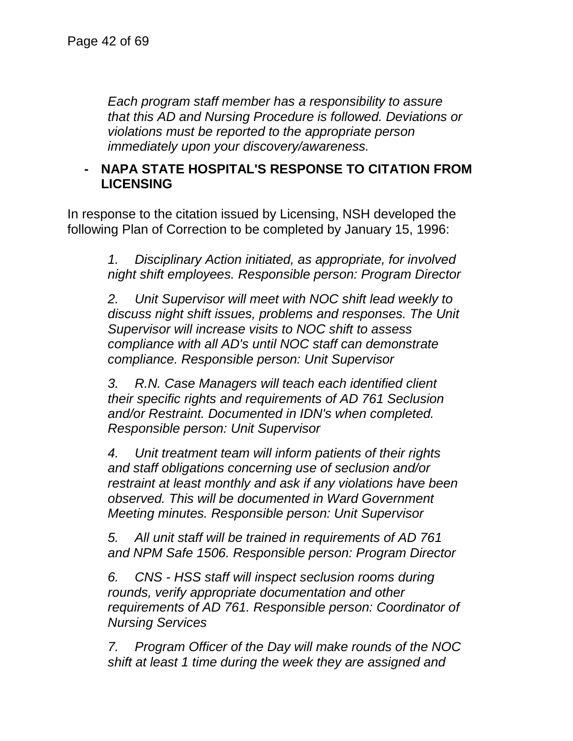*Each program staff member has a responsibility to assure that this AD and Nursing Procedure is followed. Deviations or violations must be reported to the appropriate person immediately upon your discovery/awareness.*

### **- NAPA STATE HOSPITAL'S RESPONSE TO CITATION FROM LICENSING**

In response to the citation issued by Licensing, NSH developed the following Plan of Correction to be completed by January 15, 1996:

> *1. Disciplinary Action initiated, as appropriate, for involved night shift employees. Responsible person: Program Director*

> *2. Unit Supervisor will meet with NOC shift lead weekly to discuss night shift issues, problems and responses. The Unit Supervisor will increase visits to NOC shift to assess compliance with all AD's until NOC staff can demonstrate compliance. Responsible person: Unit Supervisor*

*3. R.N. Case Managers will teach each identified client their specific rights and requirements of AD 761 Seclusion and/or Restraint. Documented in IDN's when completed. Responsible person: Unit Supervisor*

*4. Unit treatment team will inform patients of their rights and staff obligations concerning use of seclusion and/or restraint at least monthly and ask if any violations have been observed. This will be documented in Ward Government Meeting minutes. Responsible person: Unit Supervisor*

*5. All unit staff will be trained in requirements of AD 761 and NPM Safe 1506. Responsible person: Program Director*

*6. CNS - HSS staff will inspect seclusion rooms during rounds, verify appropriate documentation and other requirements of AD 761. Responsible person: Coordinator of Nursing Services*

*7. Program Officer of the Day will make rounds of the NOC shift at least 1 time during the week they are assigned and*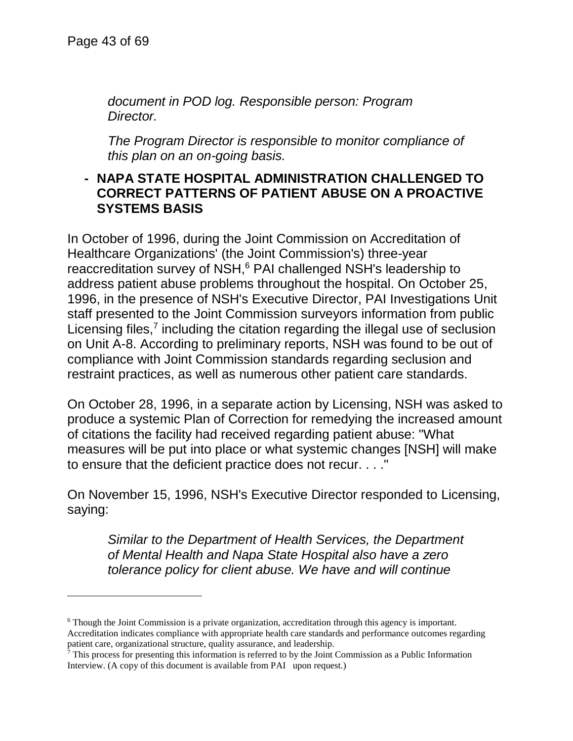l

*document in POD log. Responsible person: Program Director.*

*The Program Director is responsible to monitor compliance of this plan on an on-going basis.*

### **- NAPA STATE HOSPITAL ADMINISTRATION CHALLENGED TO CORRECT PATTERNS OF PATIENT ABUSE ON A PROACTIVE SYSTEMS BASIS**

In October of 1996, during the Joint Commission on Accreditation of Healthcare Organizations' (the Joint Commission's) three-year reaccreditation survey of NSH,<sup>6</sup> PAI challenged NSH's leadership to address patient abuse problems throughout the hospital. On October 25, 1996, in the presence of NSH's Executive Director, PAI Investigations Unit staff presented to the Joint Commission surveyors information from public Licensing files, $<sup>7</sup>$  including the citation regarding the illegal use of seclusion</sup> on Unit A-8. According to preliminary reports, NSH was found to be out of compliance with Joint Commission standards regarding seclusion and restraint practices, as well as numerous other patient care standards.

On October 28, 1996, in a separate action by Licensing, NSH was asked to produce a systemic Plan of Correction for remedying the increased amount of citations the facility had received regarding patient abuse: "What measures will be put into place or what systemic changes [NSH] will make to ensure that the deficient practice does not recur. . . ."

On November 15, 1996, NSH's Executive Director responded to Licensing, saying:

*Similar to the Department of Health Services, the Department of Mental Health and Napa State Hospital also have a zero tolerance policy for client abuse. We have and will continue* 

<sup>6</sup> Though the Joint Commission is a private organization, accreditation through this agency is important. Accreditation indicates compliance with appropriate health care standards and performance outcomes regarding patient care, organizational structure, quality assurance, and leadership.

<sup>7</sup> This process for presenting this information is referred to by the Joint Commission as a Public Information Interview. (A copy of this document is available from PAI upon request.)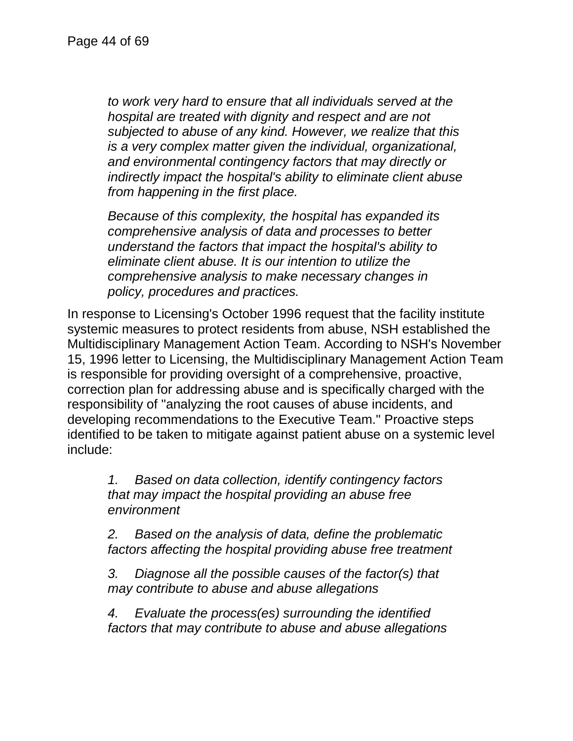*to work very hard to ensure that all individuals served at the hospital are treated with dignity and respect and are not subjected to abuse of any kind. However, we realize that this is a very complex matter given the individual, organizational, and environmental contingency factors that may directly or indirectly impact the hospital's ability to eliminate client abuse from happening in the first place.*

*Because of this complexity, the hospital has expanded its comprehensive analysis of data and processes to better understand the factors that impact the hospital's ability to eliminate client abuse. It is our intention to utilize the comprehensive analysis to make necessary changes in policy, procedures and practices.*

In response to Licensing's October 1996 request that the facility institute systemic measures to protect residents from abuse, NSH established the Multidisciplinary Management Action Team. According to NSH's November 15, 1996 letter to Licensing, the Multidisciplinary Management Action Team is responsible for providing oversight of a comprehensive, proactive, correction plan for addressing abuse and is specifically charged with the responsibility of "analyzing the root causes of abuse incidents, and developing recommendations to the Executive Team." Proactive steps identified to be taken to mitigate against patient abuse on a systemic level include:

*1. Based on data collection, identify contingency factors that may impact the hospital providing an abuse free environment*

*2. Based on the analysis of data, define the problematic factors affecting the hospital providing abuse free treatment*

*3. Diagnose all the possible causes of the factor(s) that may contribute to abuse and abuse allegations*

*4. Evaluate the process(es) surrounding the identified factors that may contribute to abuse and abuse allegations*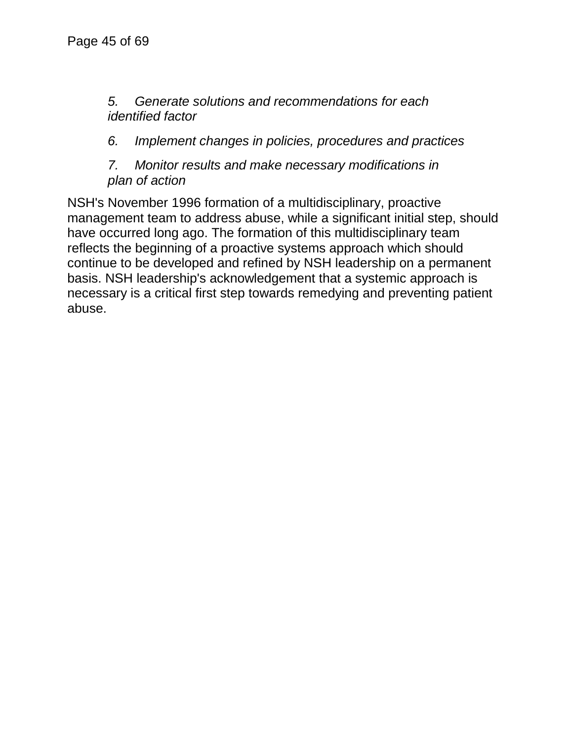### *5. Generate solutions and recommendations for each identified factor*

*6. Implement changes in policies, procedures and practices*

*7. Monitor results and make necessary modifications in plan of action*

NSH's November 1996 formation of a multidisciplinary, proactive management team to address abuse, while a significant initial step, should have occurred long ago. The formation of this multidisciplinary team reflects the beginning of a proactive systems approach which should continue to be developed and refined by NSH leadership on a permanent basis. NSH leadership's acknowledgement that a systemic approach is necessary is a critical first step towards remedying and preventing patient abuse.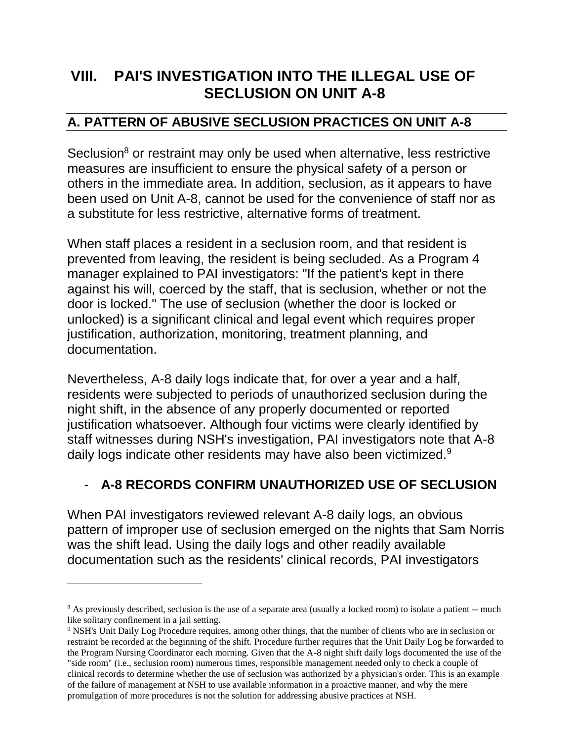# **VIII. PAI'S INVESTIGATION INTO THE ILLEGAL USE OF SECLUSION ON UNIT A-8**

## **A. PATTERN OF ABUSIVE SECLUSION PRACTICES ON UNIT A-8**

Seclusion<sup>8</sup> or restraint may only be used when alternative, less restrictive measures are insufficient to ensure the physical safety of a person or others in the immediate area. In addition, seclusion, as it appears to have been used on Unit A-8, cannot be used for the convenience of staff nor as a substitute for less restrictive, alternative forms of treatment.

When staff places a resident in a seclusion room, and that resident is prevented from leaving, the resident is being secluded. As a Program 4 manager explained to PAI investigators: "If the patient's kept in there against his will, coerced by the staff, that is seclusion, whether or not the door is locked." The use of seclusion (whether the door is locked or unlocked) is a significant clinical and legal event which requires proper justification, authorization, monitoring, treatment planning, and documentation.

Nevertheless, A-8 daily logs indicate that, for over a year and a half, residents were subjected to periods of unauthorized seclusion during the night shift, in the absence of any properly documented or reported justification whatsoever. Although four victims were clearly identified by staff witnesses during NSH's investigation, PAI investigators note that A-8 daily logs indicate other residents may have also been victimized.<sup>9</sup>

# - **A-8 RECORDS CONFIRM UNAUTHORIZED USE OF SECLUSION**

When PAI investigators reviewed relevant A-8 daily logs, an obvious pattern of improper use of seclusion emerged on the nights that Sam Norris was the shift lead. Using the daily logs and other readily available documentation such as the residents' clinical records, PAI investigators

 $\overline{a}$ 

<sup>&</sup>lt;sup>8</sup> As previously described, seclusion is the use of a separate area (usually a locked room) to isolate a patient -- much like solitary confinement in a jail setting.

<sup>9</sup> NSH's Unit Daily Log Procedure requires, among other things, that the number of clients who are in seclusion or restraint be recorded at the beginning of the shift. Procedure further requires that the Unit Daily Log be forwarded to the Program Nursing Coordinator each morning. Given that the A-8 night shift daily logs documented the use of the "side room" (i.e., seclusion room) numerous times, responsible management needed only to check a couple of clinical records to determine whether the use of seclusion was authorized by a physician's order. This is an example of the failure of management at NSH to use available information in a proactive manner, and why the mere promulgation of more procedures is not the solution for addressing abusive practices at NSH.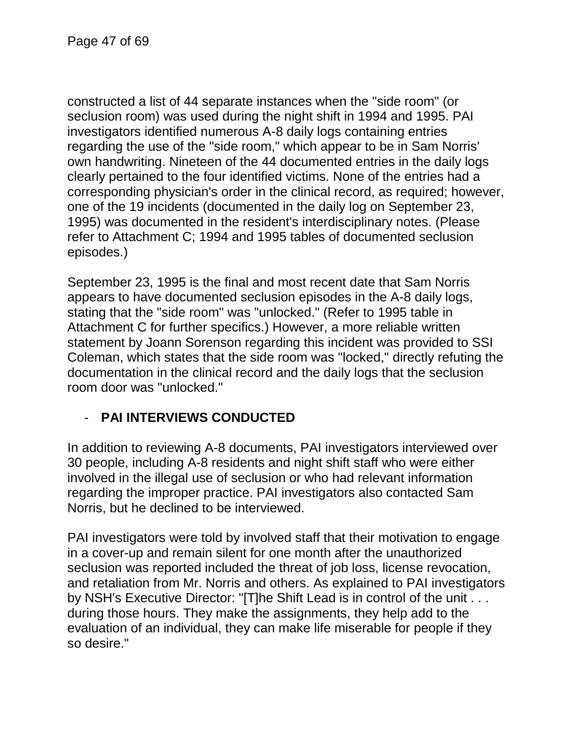constructed a list of 44 separate instances when the "side room" (or seclusion room) was used during the night shift in 1994 and 1995. PAI investigators identified numerous A-8 daily logs containing entries regarding the use of the "side room," which appear to be in Sam Norris' own handwriting. Nineteen of the 44 documented entries in the daily logs clearly pertained to the four identified victims. None of the entries had a corresponding physician's order in the clinical record, as required; however, one of the 19 incidents (documented in the daily log on September 23, 1995) was documented in the resident's interdisciplinary notes. (Please refer to Attachment C; 1994 and 1995 tables of documented seclusion episodes.)

September 23, 1995 is the final and most recent date that Sam Norris appears to have documented seclusion episodes in the A-8 daily logs, stating that the "side room" was "unlocked." (Refer to 1995 table in Attachment C for further specifics.) However, a more reliable written statement by Joann Sorenson regarding this incident was provided to SSI Coleman, which states that the side room was "locked," directly refuting the documentation in the clinical record and the daily logs that the seclusion room door was "unlocked."

# - **PAI INTERVIEWS CONDUCTED**

In addition to reviewing A-8 documents, PAI investigators interviewed over 30 people, including A-8 residents and night shift staff who were either involved in the illegal use of seclusion or who had relevant information regarding the improper practice. PAI investigators also contacted Sam Norris, but he declined to be interviewed.

PAI investigators were told by involved staff that their motivation to engage in a cover-up and remain silent for one month after the unauthorized seclusion was reported included the threat of job loss, license revocation, and retaliation from Mr. Norris and others. As explained to PAI investigators by NSH's Executive Director: "[T]he Shift Lead is in control of the unit . . . during those hours. They make the assignments, they help add to the evaluation of an individual, they can make life miserable for people if they so desire."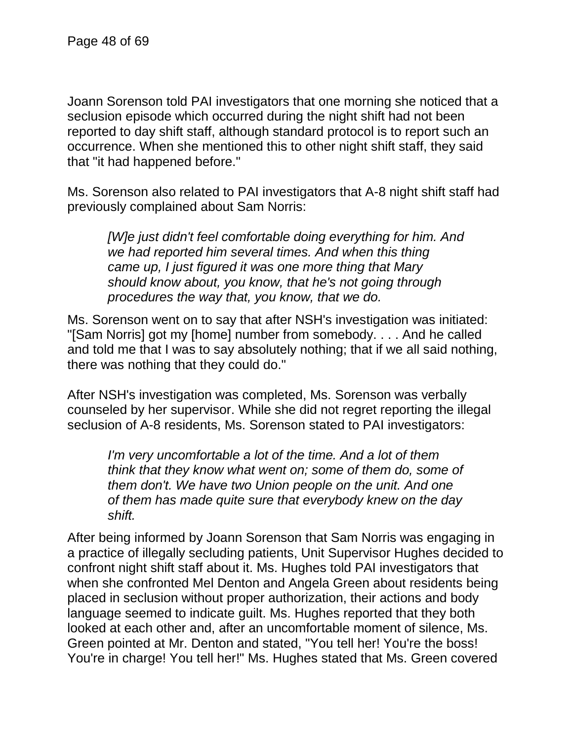Joann Sorenson told PAI investigators that one morning she noticed that a seclusion episode which occurred during the night shift had not been reported to day shift staff, although standard protocol is to report such an occurrence. When she mentioned this to other night shift staff, they said that "it had happened before."

Ms. Sorenson also related to PAI investigators that A-8 night shift staff had previously complained about Sam Norris:

*[W]e just didn't feel comfortable doing everything for him. And we had reported him several times. And when this thing came up, I just figured it was one more thing that Mary should know about, you know, that he's not going through procedures the way that, you know, that we do.*

Ms. Sorenson went on to say that after NSH's investigation was initiated: "[Sam Norris] got my [home] number from somebody. . . . And he called and told me that I was to say absolutely nothing; that if we all said nothing, there was nothing that they could do."

After NSH's investigation was completed, Ms. Sorenson was verbally counseled by her supervisor. While she did not regret reporting the illegal seclusion of A-8 residents, Ms. Sorenson stated to PAI investigators:

*I'm very uncomfortable a lot of the time. And a lot of them think that they know what went on; some of them do, some of them don't. We have two Union people on the unit. And one of them has made quite sure that everybody knew on the day shift.*

After being informed by Joann Sorenson that Sam Norris was engaging in a practice of illegally secluding patients, Unit Supervisor Hughes decided to confront night shift staff about it. Ms. Hughes told PAI investigators that when she confronted Mel Denton and Angela Green about residents being placed in seclusion without proper authorization, their actions and body language seemed to indicate guilt. Ms. Hughes reported that they both looked at each other and, after an uncomfortable moment of silence, Ms. Green pointed at Mr. Denton and stated, "You tell her! You're the boss! You're in charge! You tell her!" Ms. Hughes stated that Ms. Green covered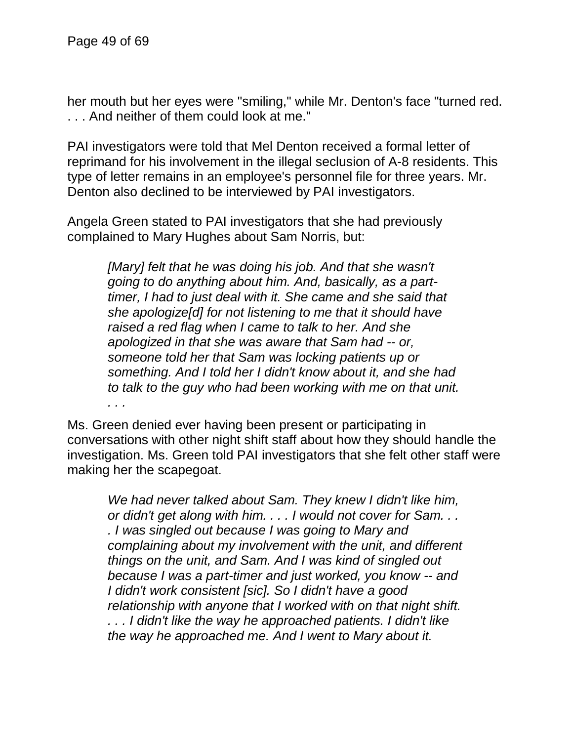her mouth but her eyes were "smiling," while Mr. Denton's face "turned red. . . . And neither of them could look at me."

PAI investigators were told that Mel Denton received a formal letter of reprimand for his involvement in the illegal seclusion of A-8 residents. This type of letter remains in an employee's personnel file for three years. Mr. Denton also declined to be interviewed by PAI investigators.

Angela Green stated to PAI investigators that she had previously complained to Mary Hughes about Sam Norris, but:

> *[Mary] felt that he was doing his job. And that she wasn't going to do anything about him. And, basically, as a parttimer, I had to just deal with it. She came and she said that she apologize[d] for not listening to me that it should have raised a red flag when I came to talk to her. And she apologized in that she was aware that Sam had -- or, someone told her that Sam was locking patients up or something. And I told her I didn't know about it, and she had to talk to the guy who had been working with me on that unit. . . .*

Ms. Green denied ever having been present or participating in conversations with other night shift staff about how they should handle the investigation. Ms. Green told PAI investigators that she felt other staff were making her the scapegoat.

*We had never talked about Sam. They knew I didn't like him, or didn't get along with him. . . . I would not cover for Sam. . . . I was singled out because I was going to Mary and complaining about my involvement with the unit, and different things on the unit, and Sam. And I was kind of singled out because I was a part-timer and just worked, you know -- and I didn't work consistent [sic]. So I didn't have a good relationship with anyone that I worked with on that night shift. . . . I didn't like the way he approached patients. I didn't like the way he approached me. And I went to Mary about it.*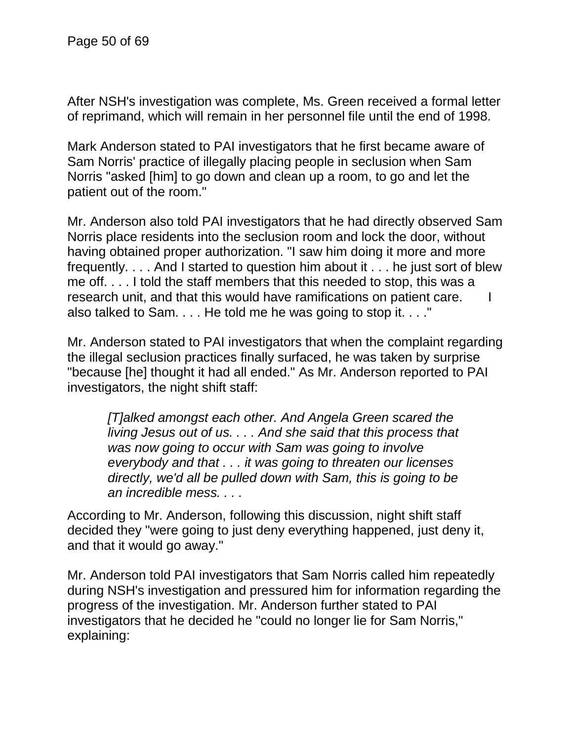After NSH's investigation was complete, Ms. Green received a formal letter of reprimand, which will remain in her personnel file until the end of 1998.

Mark Anderson stated to PAI investigators that he first became aware of Sam Norris' practice of illegally placing people in seclusion when Sam Norris "asked [him] to go down and clean up a room, to go and let the patient out of the room."

Mr. Anderson also told PAI investigators that he had directly observed Sam Norris place residents into the seclusion room and lock the door, without having obtained proper authorization. "I saw him doing it more and more frequently. . . . And I started to question him about it . . . he just sort of blew me off. . . . I told the staff members that this needed to stop, this was a research unit, and that this would have ramifications on patient care. I also talked to Sam. . . . He told me he was going to stop it. . . ."

Mr. Anderson stated to PAI investigators that when the complaint regarding the illegal seclusion practices finally surfaced, he was taken by surprise "because [he] thought it had all ended." As Mr. Anderson reported to PAI investigators, the night shift staff:

*[T]alked amongst each other. And Angela Green scared the living Jesus out of us. . . . And she said that this process that was now going to occur with Sam was going to involve everybody and that . . . it was going to threaten our licenses directly, we'd all be pulled down with Sam, this is going to be an incredible mess. . . .*

According to Mr. Anderson, following this discussion, night shift staff decided they "were going to just deny everything happened, just deny it, and that it would go away."

Mr. Anderson told PAI investigators that Sam Norris called him repeatedly during NSH's investigation and pressured him for information regarding the progress of the investigation. Mr. Anderson further stated to PAI investigators that he decided he "could no longer lie for Sam Norris," explaining: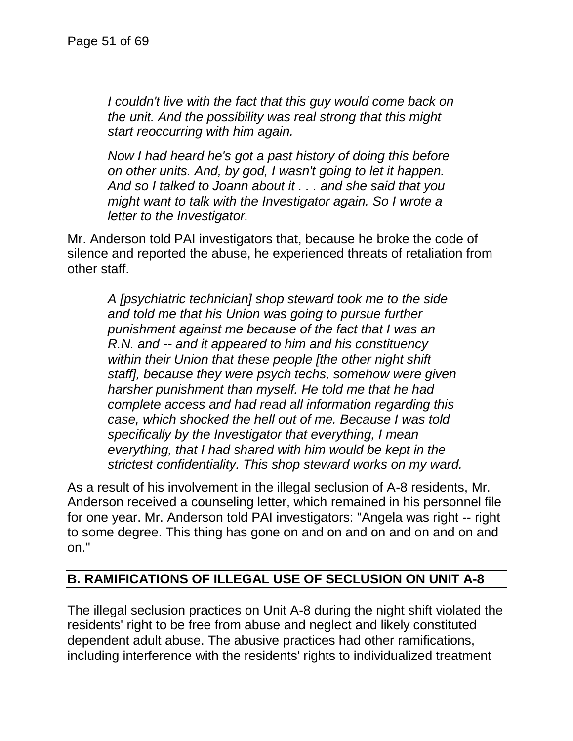*I couldn't live with the fact that this guy would come back on the unit. And the possibility was real strong that this might start reoccurring with him again.*

*Now I had heard he's got a past history of doing this before on other units. And, by god, I wasn't going to let it happen. And so I talked to Joann about it . . . and she said that you might want to talk with the Investigator again. So I wrote a letter to the Investigator.*

Mr. Anderson told PAI investigators that, because he broke the code of silence and reported the abuse, he experienced threats of retaliation from other staff.

*A [psychiatric technician] shop steward took me to the side and told me that his Union was going to pursue further punishment against me because of the fact that I was an R.N. and -- and it appeared to him and his constituency within their Union that these people [the other night shift staff], because they were psych techs, somehow were given harsher punishment than myself. He told me that he had complete access and had read all information regarding this case, which shocked the hell out of me. Because I was told specifically by the Investigator that everything, I mean everything, that I had shared with him would be kept in the strictest confidentiality. This shop steward works on my ward.*

As a result of his involvement in the illegal seclusion of A-8 residents, Mr. Anderson received a counseling letter, which remained in his personnel file for one year. Mr. Anderson told PAI investigators: "Angela was right -- right to some degree. This thing has gone on and on and on and on and on and on."

### **B. RAMIFICATIONS OF ILLEGAL USE OF SECLUSION ON UNIT A-8**

The illegal seclusion practices on Unit A-8 during the night shift violated the residents' right to be free from abuse and neglect and likely constituted dependent adult abuse. The abusive practices had other ramifications, including interference with the residents' rights to individualized treatment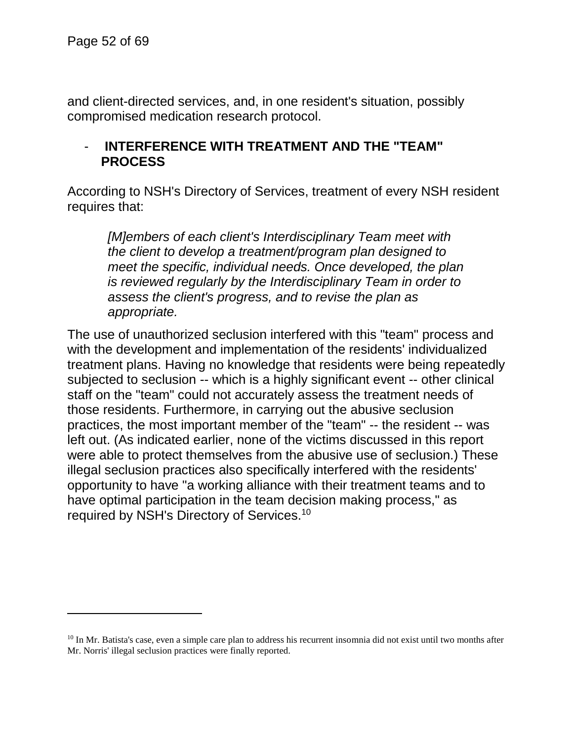and client-directed services, and, in one resident's situation, possibly compromised medication research protocol.

### - **INTERFERENCE WITH TREATMENT AND THE "TEAM" PROCESS**

According to NSH's Directory of Services, treatment of every NSH resident requires that:

*[M]embers of each client's Interdisciplinary Team meet with the client to develop a treatment/program plan designed to meet the specific, individual needs. Once developed, the plan is reviewed regularly by the Interdisciplinary Team in order to assess the client's progress, and to revise the plan as appropriate.*

The use of unauthorized seclusion interfered with this "team" process and with the development and implementation of the residents' individualized treatment plans. Having no knowledge that residents were being repeatedly subjected to seclusion -- which is a highly significant event -- other clinical staff on the "team" could not accurately assess the treatment needs of those residents. Furthermore, in carrying out the abusive seclusion practices, the most important member of the "team" -- the resident -- was left out. (As indicated earlier, none of the victims discussed in this report were able to protect themselves from the abusive use of seclusion.) These illegal seclusion practices also specifically interfered with the residents' opportunity to have "a working alliance with their treatment teams and to have optimal participation in the team decision making process," as required by NSH's Directory of Services.<sup>10</sup>

 $10$  In Mr. Batista's case, even a simple care plan to address his recurrent insomnia did not exist until two months after Mr. Norris' illegal seclusion practices were finally reported.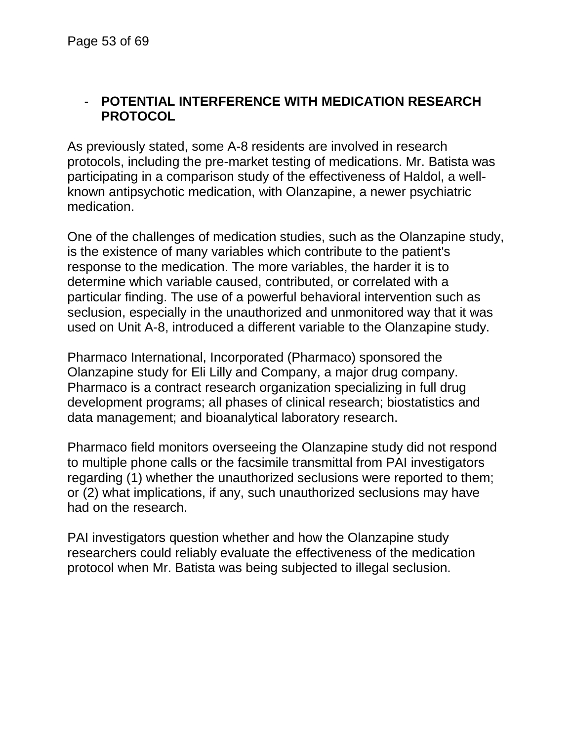### - **POTENTIAL INTERFERENCE WITH MEDICATION RESEARCH PROTOCOL**

As previously stated, some A-8 residents are involved in research protocols, including the pre-market testing of medications. Mr. Batista was participating in a comparison study of the effectiveness of Haldol, a wellknown antipsychotic medication, with Olanzapine, a newer psychiatric medication.

One of the challenges of medication studies, such as the Olanzapine study, is the existence of many variables which contribute to the patient's response to the medication. The more variables, the harder it is to determine which variable caused, contributed, or correlated with a particular finding. The use of a powerful behavioral intervention such as seclusion, especially in the unauthorized and unmonitored way that it was used on Unit A-8, introduced a different variable to the Olanzapine study.

Pharmaco International, Incorporated (Pharmaco) sponsored the Olanzapine study for Eli Lilly and Company, a major drug company. Pharmaco is a contract research organization specializing in full drug development programs; all phases of clinical research; biostatistics and data management; and bioanalytical laboratory research.

Pharmaco field monitors overseeing the Olanzapine study did not respond to multiple phone calls or the facsimile transmittal from PAI investigators regarding (1) whether the unauthorized seclusions were reported to them; or (2) what implications, if any, such unauthorized seclusions may have had on the research.

PAI investigators question whether and how the Olanzapine study researchers could reliably evaluate the effectiveness of the medication protocol when Mr. Batista was being subjected to illegal seclusion.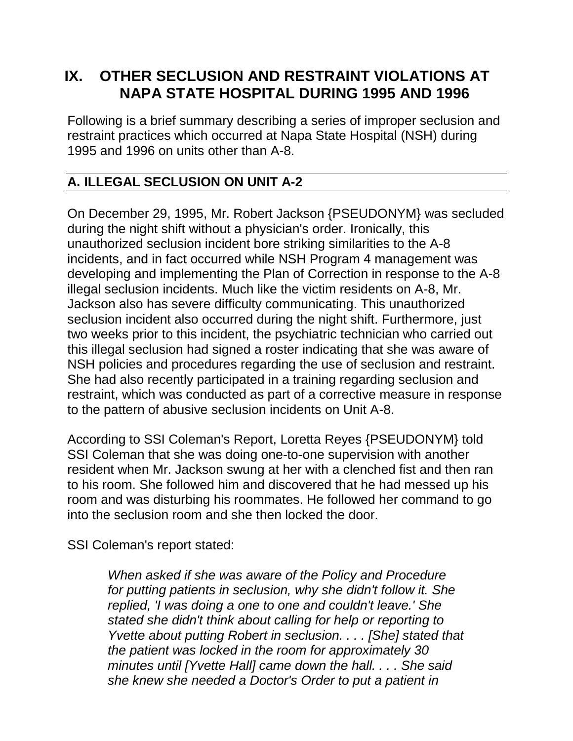# **IX. OTHER SECLUSION AND RESTRAINT VIOLATIONS AT NAPA STATE HOSPITAL DURING 1995 AND 1996**

Following is a brief summary describing a series of improper seclusion and restraint practices which occurred at Napa State Hospital (NSH) during 1995 and 1996 on units other than A-8.

# **A. ILLEGAL SECLUSION ON UNIT A-2**

On December 29, 1995, Mr. Robert Jackson {PSEUDONYM} was secluded during the night shift without a physician's order. Ironically, this unauthorized seclusion incident bore striking similarities to the A-8 incidents, and in fact occurred while NSH Program 4 management was developing and implementing the Plan of Correction in response to the A-8 illegal seclusion incidents. Much like the victim residents on A-8, Mr. Jackson also has severe difficulty communicating. This unauthorized seclusion incident also occurred during the night shift. Furthermore, just two weeks prior to this incident, the psychiatric technician who carried out this illegal seclusion had signed a roster indicating that she was aware of NSH policies and procedures regarding the use of seclusion and restraint. She had also recently participated in a training regarding seclusion and restraint, which was conducted as part of a corrective measure in response to the pattern of abusive seclusion incidents on Unit A-8.

According to SSI Coleman's Report, Loretta Reyes {PSEUDONYM} told SSI Coleman that she was doing one-to-one supervision with another resident when Mr. Jackson swung at her with a clenched fist and then ran to his room. She followed him and discovered that he had messed up his room and was disturbing his roommates. He followed her command to go into the seclusion room and she then locked the door.

SSI Coleman's report stated:

*When asked if she was aware of the Policy and Procedure for putting patients in seclusion, why she didn't follow it. She replied, 'I was doing a one to one and couldn't leave.' She stated she didn't think about calling for help or reporting to Yvette about putting Robert in seclusion. . . . [She] stated that the patient was locked in the room for approximately 30 minutes until [Yvette Hall] came down the hall. . . . She said she knew she needed a Doctor's Order to put a patient in*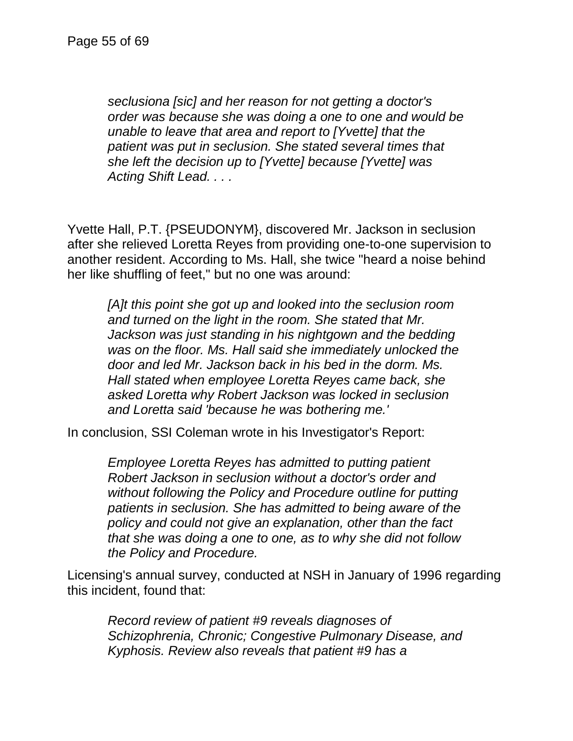*seclusiona [sic] and her reason for not getting a doctor's order was because she was doing a one to one and would be unable to leave that area and report to [Yvette] that the patient was put in seclusion. She stated several times that she left the decision up to [Yvette] because [Yvette] was Acting Shift Lead. . . .*

Yvette Hall, P.T. {PSEUDONYM}, discovered Mr. Jackson in seclusion after she relieved Loretta Reyes from providing one-to-one supervision to another resident. According to Ms. Hall, she twice "heard a noise behind her like shuffling of feet," but no one was around:

*[A]t this point she got up and looked into the seclusion room and turned on the light in the room. She stated that Mr. Jackson was just standing in his nightgown and the bedding was on the floor. Ms. Hall said she immediately unlocked the door and led Mr. Jackson back in his bed in the dorm. Ms. Hall stated when employee Loretta Reyes came back, she asked Loretta why Robert Jackson was locked in seclusion and Loretta said 'because he was bothering me.'*

In conclusion, SSI Coleman wrote in his Investigator's Report:

*Employee Loretta Reyes has admitted to putting patient Robert Jackson in seclusion without a doctor's order and without following the Policy and Procedure outline for putting patients in seclusion. She has admitted to being aware of the policy and could not give an explanation, other than the fact that she was doing a one to one, as to why she did not follow the Policy and Procedure.*

Licensing's annual survey, conducted at NSH in January of 1996 regarding this incident, found that:

*Record review of patient #9 reveals diagnoses of Schizophrenia, Chronic; Congestive Pulmonary Disease, and Kyphosis. Review also reveals that patient #9 has a*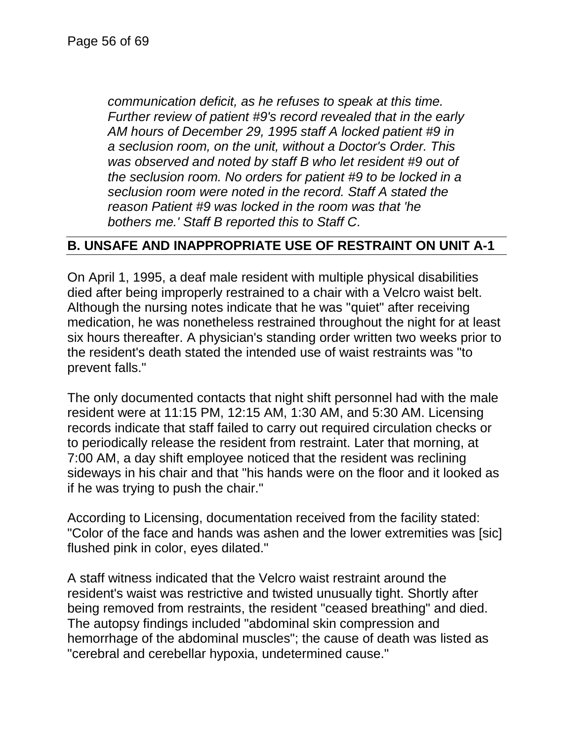*communication deficit, as he refuses to speak at this time. Further review of patient #9's record revealed that in the early AM hours of December 29, 1995 staff A locked patient #9 in a seclusion room, on the unit, without a Doctor's Order. This was observed and noted by staff B who let resident #9 out of the seclusion room. No orders for patient #9 to be locked in a seclusion room were noted in the record. Staff A stated the reason Patient #9 was locked in the room was that 'he bothers me.' Staff B reported this to Staff C.*

### **B. UNSAFE AND INAPPROPRIATE USE OF RESTRAINT ON UNIT A-1**

On April 1, 1995, a deaf male resident with multiple physical disabilities died after being improperly restrained to a chair with a Velcro waist belt. Although the nursing notes indicate that he was "quiet" after receiving medication, he was nonetheless restrained throughout the night for at least six hours thereafter. A physician's standing order written two weeks prior to the resident's death stated the intended use of waist restraints was "to prevent falls."

The only documented contacts that night shift personnel had with the male resident were at 11:15 PM, 12:15 AM, 1:30 AM, and 5:30 AM. Licensing records indicate that staff failed to carry out required circulation checks or to periodically release the resident from restraint. Later that morning, at 7:00 AM, a day shift employee noticed that the resident was reclining sideways in his chair and that "his hands were on the floor and it looked as if he was trying to push the chair."

According to Licensing, documentation received from the facility stated: "Color of the face and hands was ashen and the lower extremities was [sic] flushed pink in color, eyes dilated."

A staff witness indicated that the Velcro waist restraint around the resident's waist was restrictive and twisted unusually tight. Shortly after being removed from restraints, the resident "ceased breathing" and died. The autopsy findings included "abdominal skin compression and hemorrhage of the abdominal muscles"; the cause of death was listed as "cerebral and cerebellar hypoxia, undetermined cause."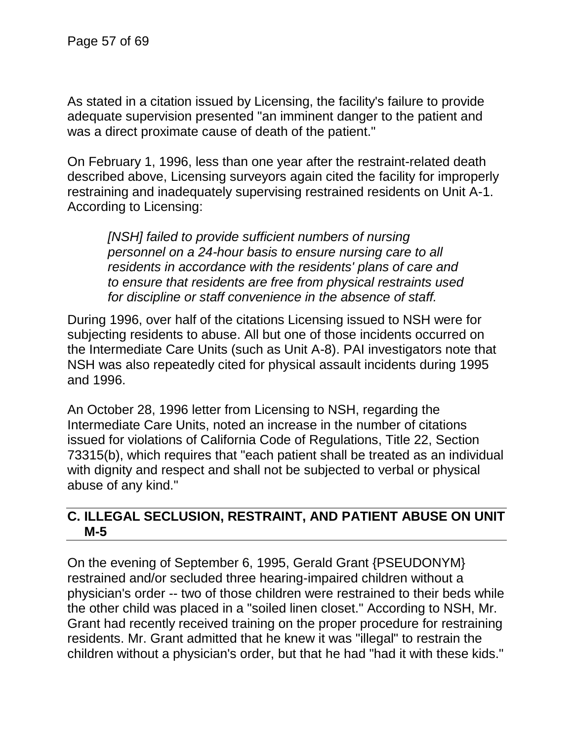As stated in a citation issued by Licensing, the facility's failure to provide adequate supervision presented "an imminent danger to the patient and was a direct proximate cause of death of the patient."

On February 1, 1996, less than one year after the restraint-related death described above, Licensing surveyors again cited the facility for improperly restraining and inadequately supervising restrained residents on Unit A-1. According to Licensing:

*[NSH] failed to provide sufficient numbers of nursing personnel on a 24-hour basis to ensure nursing care to all residents in accordance with the residents' plans of care and to ensure that residents are free from physical restraints used for discipline or staff convenience in the absence of staff.*

During 1996, over half of the citations Licensing issued to NSH were for subjecting residents to abuse. All but one of those incidents occurred on the Intermediate Care Units (such as Unit A-8). PAI investigators note that NSH was also repeatedly cited for physical assault incidents during 1995 and 1996.

An October 28, 1996 letter from Licensing to NSH, regarding the Intermediate Care Units, noted an increase in the number of citations issued for violations of California Code of Regulations, Title 22, Section 73315(b), which requires that "each patient shall be treated as an individual with dignity and respect and shall not be subjected to verbal or physical abuse of any kind."

### **C. ILLEGAL SECLUSION, RESTRAINT, AND PATIENT ABUSE ON UNIT M-5**

On the evening of September 6, 1995, Gerald Grant {PSEUDONYM} restrained and/or secluded three hearing-impaired children without a physician's order -- two of those children were restrained to their beds while the other child was placed in a "soiled linen closet." According to NSH, Mr. Grant had recently received training on the proper procedure for restraining residents. Mr. Grant admitted that he knew it was "illegal" to restrain the children without a physician's order, but that he had "had it with these kids."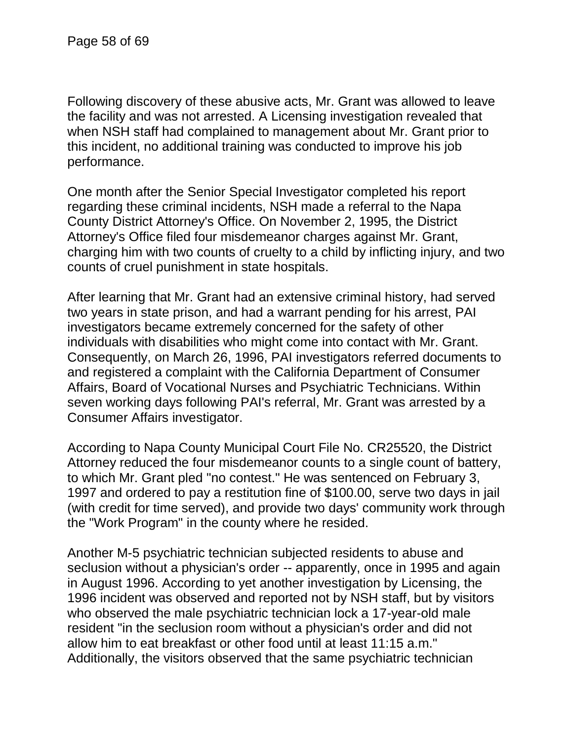Following discovery of these abusive acts, Mr. Grant was allowed to leave the facility and was not arrested. A Licensing investigation revealed that when NSH staff had complained to management about Mr. Grant prior to this incident, no additional training was conducted to improve his job performance.

One month after the Senior Special Investigator completed his report regarding these criminal incidents, NSH made a referral to the Napa County District Attorney's Office. On November 2, 1995, the District Attorney's Office filed four misdemeanor charges against Mr. Grant, charging him with two counts of cruelty to a child by inflicting injury, and two counts of cruel punishment in state hospitals.

After learning that Mr. Grant had an extensive criminal history, had served two years in state prison, and had a warrant pending for his arrest, PAI investigators became extremely concerned for the safety of other individuals with disabilities who might come into contact with Mr. Grant. Consequently, on March 26, 1996, PAI investigators referred documents to and registered a complaint with the California Department of Consumer Affairs, Board of Vocational Nurses and Psychiatric Technicians. Within seven working days following PAI's referral, Mr. Grant was arrested by a Consumer Affairs investigator.

According to Napa County Municipal Court File No. CR25520, the District Attorney reduced the four misdemeanor counts to a single count of battery, to which Mr. Grant pled "no contest." He was sentenced on February 3, 1997 and ordered to pay a restitution fine of \$100.00, serve two days in jail (with credit for time served), and provide two days' community work through the "Work Program" in the county where he resided.

Another M-5 psychiatric technician subjected residents to abuse and seclusion without a physician's order -- apparently, once in 1995 and again in August 1996. According to yet another investigation by Licensing, the 1996 incident was observed and reported not by NSH staff, but by visitors who observed the male psychiatric technician lock a 17-year-old male resident "in the seclusion room without a physician's order and did not allow him to eat breakfast or other food until at least 11:15 a.m." Additionally, the visitors observed that the same psychiatric technician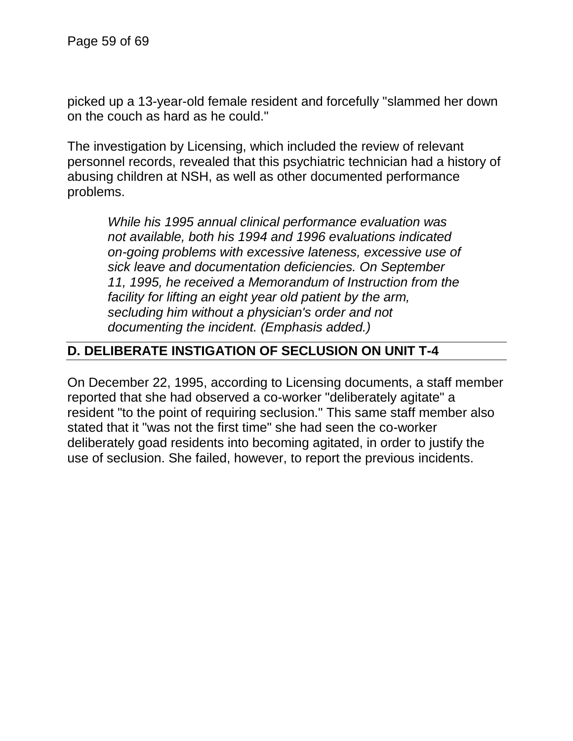picked up a 13-year-old female resident and forcefully "slammed her down on the couch as hard as he could."

The investigation by Licensing, which included the review of relevant personnel records, revealed that this psychiatric technician had a history of abusing children at NSH, as well as other documented performance problems.

*While his 1995 annual clinical performance evaluation was not available, both his 1994 and 1996 evaluations indicated on-going problems with excessive lateness, excessive use of sick leave and documentation deficiencies. On September 11, 1995, he received a Memorandum of Instruction from the facility for lifting an eight year old patient by the arm, secluding him without a physician's order and not documenting the incident. (Emphasis added.)*

## **D. DELIBERATE INSTIGATION OF SECLUSION ON UNIT T-4**

On December 22, 1995, according to Licensing documents, a staff member reported that she had observed a co-worker "deliberately agitate" a resident "to the point of requiring seclusion." This same staff member also stated that it "was not the first time" she had seen the co-worker deliberately goad residents into becoming agitated, in order to justify the use of seclusion. She failed, however, to report the previous incidents.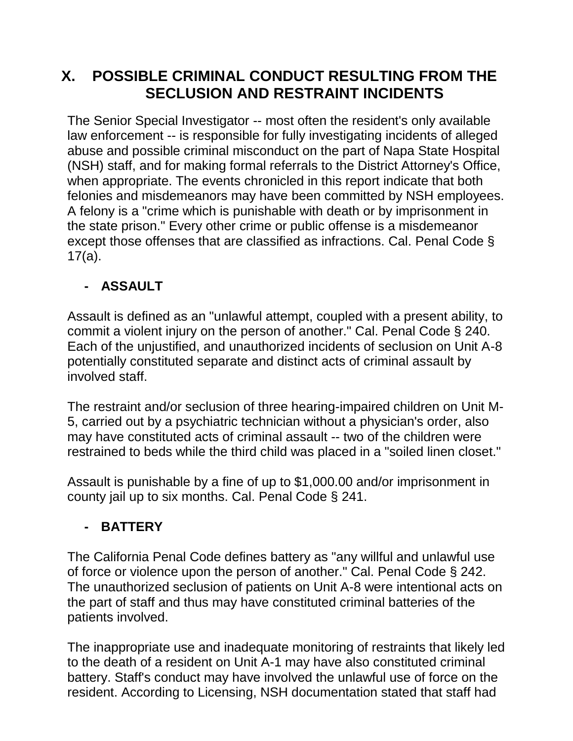# **X. POSSIBLE CRIMINAL CONDUCT RESULTING FROM THE SECLUSION AND RESTRAINT INCIDENTS**

The Senior Special Investigator -- most often the resident's only available law enforcement -- is responsible for fully investigating incidents of alleged abuse and possible criminal misconduct on the part of Napa State Hospital (NSH) staff, and for making formal referrals to the District Attorney's Office, when appropriate. The events chronicled in this report indicate that both felonies and misdemeanors may have been committed by NSH employees. A felony is a "crime which is punishable with death or by imprisonment in the state prison." Every other crime or public offense is a misdemeanor except those offenses that are classified as infractions. Cal. Penal Code § 17(a).

# **- ASSAULT**

Assault is defined as an "unlawful attempt, coupled with a present ability, to commit a violent injury on the person of another." Cal. Penal Code § 240. Each of the unjustified, and unauthorized incidents of seclusion on Unit A-8 potentially constituted separate and distinct acts of criminal assault by involved staff.

The restraint and/or seclusion of three hearing-impaired children on Unit M-5, carried out by a psychiatric technician without a physician's order, also may have constituted acts of criminal assault -- two of the children were restrained to beds while the third child was placed in a "soiled linen closet."

Assault is punishable by a fine of up to \$1,000.00 and/or imprisonment in county jail up to six months. Cal. Penal Code § 241.

# **- BATTERY**

The California Penal Code defines battery as "any willful and unlawful use of force or violence upon the person of another." Cal. Penal Code § 242. The unauthorized seclusion of patients on Unit A-8 were intentional acts on the part of staff and thus may have constituted criminal batteries of the patients involved.

The inappropriate use and inadequate monitoring of restraints that likely led to the death of a resident on Unit A-1 may have also constituted criminal battery. Staff's conduct may have involved the unlawful use of force on the resident. According to Licensing, NSH documentation stated that staff had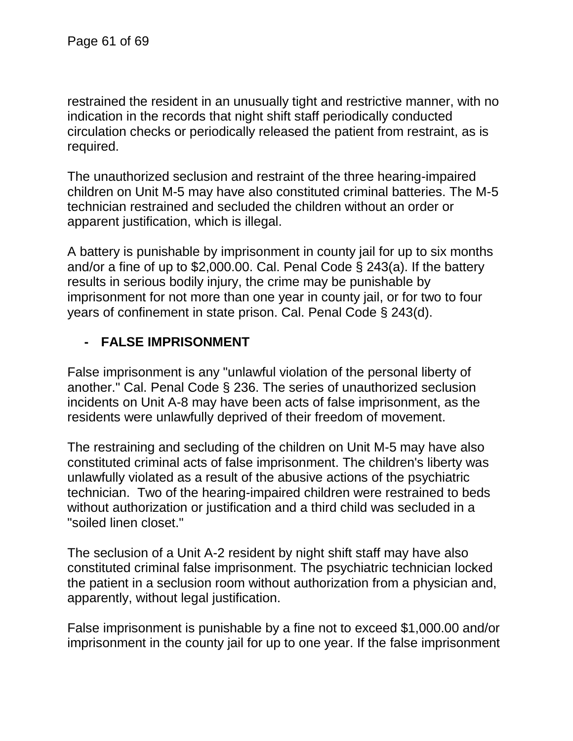restrained the resident in an unusually tight and restrictive manner, with no indication in the records that night shift staff periodically conducted circulation checks or periodically released the patient from restraint, as is required.

The unauthorized seclusion and restraint of the three hearing-impaired children on Unit M-5 may have also constituted criminal batteries. The M-5 technician restrained and secluded the children without an order or apparent justification, which is illegal.

A battery is punishable by imprisonment in county jail for up to six months and/or a fine of up to \$2,000.00. Cal. Penal Code § 243(a). If the battery results in serious bodily injury, the crime may be punishable by imprisonment for not more than one year in county jail, or for two to four years of confinement in state prison. Cal. Penal Code § 243(d).

## **- FALSE IMPRISONMENT**

False imprisonment is any "unlawful violation of the personal liberty of another." Cal. Penal Code § 236. The series of unauthorized seclusion incidents on Unit A-8 may have been acts of false imprisonment, as the residents were unlawfully deprived of their freedom of movement.

The restraining and secluding of the children on Unit M-5 may have also constituted criminal acts of false imprisonment. The children's liberty was unlawfully violated as a result of the abusive actions of the psychiatric technician. Two of the hearing-impaired children were restrained to beds without authorization or justification and a third child was secluded in a "soiled linen closet."

The seclusion of a Unit A-2 resident by night shift staff may have also constituted criminal false imprisonment. The psychiatric technician locked the patient in a seclusion room without authorization from a physician and, apparently, without legal justification.

False imprisonment is punishable by a fine not to exceed \$1,000.00 and/or imprisonment in the county jail for up to one year. If the false imprisonment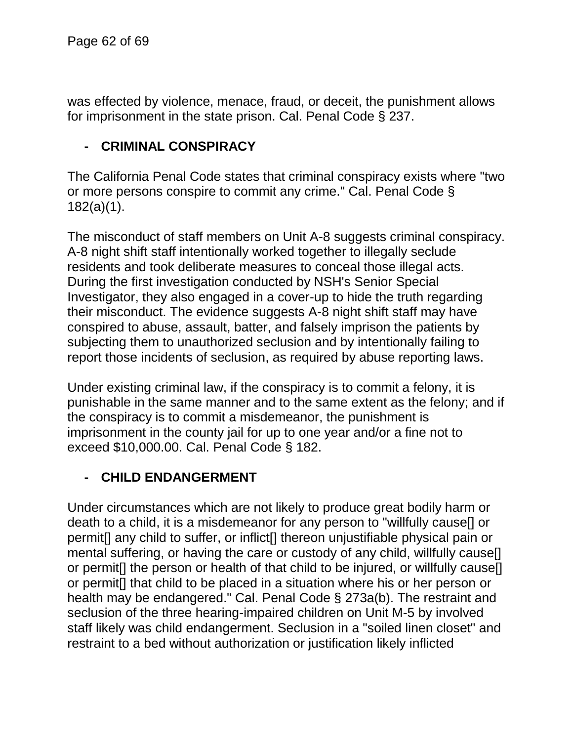was effected by violence, menace, fraud, or deceit, the punishment allows for imprisonment in the state prison. Cal. Penal Code § 237.

## **- CRIMINAL CONSPIRACY**

The California Penal Code states that criminal conspiracy exists where "two or more persons conspire to commit any crime." Cal. Penal Code § 182(a)(1).

The misconduct of staff members on Unit A-8 suggests criminal conspiracy. A-8 night shift staff intentionally worked together to illegally seclude residents and took deliberate measures to conceal those illegal acts. During the first investigation conducted by NSH's Senior Special Investigator, they also engaged in a cover-up to hide the truth regarding their misconduct. The evidence suggests A-8 night shift staff may have conspired to abuse, assault, batter, and falsely imprison the patients by subjecting them to unauthorized seclusion and by intentionally failing to report those incidents of seclusion, as required by abuse reporting laws.

Under existing criminal law, if the conspiracy is to commit a felony, it is punishable in the same manner and to the same extent as the felony; and if the conspiracy is to commit a misdemeanor, the punishment is imprisonment in the county jail for up to one year and/or a fine not to exceed \$10,000.00. Cal. Penal Code § 182.

### **- CHILD ENDANGERMENT**

Under circumstances which are not likely to produce great bodily harm or death to a child, it is a misdemeanor for any person to "willfully cause[] or permit[] any child to suffer, or inflict[] thereon unjustifiable physical pain or mental suffering, or having the care or custody of any child, willfully cause[] or permit[] the person or health of that child to be injured, or willfully cause[] or permit[] that child to be placed in a situation where his or her person or health may be endangered." Cal. Penal Code § 273a(b). The restraint and seclusion of the three hearing-impaired children on Unit M-5 by involved staff likely was child endangerment. Seclusion in a "soiled linen closet" and restraint to a bed without authorization or justification likely inflicted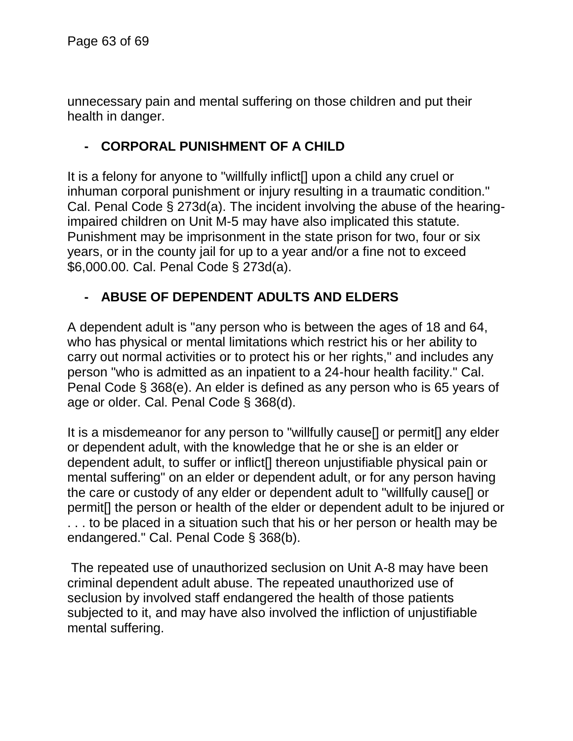unnecessary pain and mental suffering on those children and put their health in danger.

## **- CORPORAL PUNISHMENT OF A CHILD**

It is a felony for anyone to "willfully inflict[] upon a child any cruel or inhuman corporal punishment or injury resulting in a traumatic condition." Cal. Penal Code § 273d(a). The incident involving the abuse of the hearingimpaired children on Unit M-5 may have also implicated this statute. Punishment may be imprisonment in the state prison for two, four or six years, or in the county jail for up to a year and/or a fine not to exceed \$6,000.00. Cal. Penal Code § 273d(a).

## **- ABUSE OF DEPENDENT ADULTS AND ELDERS**

A dependent adult is "any person who is between the ages of 18 and 64, who has physical or mental limitations which restrict his or her ability to carry out normal activities or to protect his or her rights," and includes any person "who is admitted as an inpatient to a 24-hour health facility." Cal. Penal Code § 368(e). An elder is defined as any person who is 65 years of age or older. Cal. Penal Code § 368(d).

It is a misdemeanor for any person to "willfully cause[] or permit[] any elder or dependent adult, with the knowledge that he or she is an elder or dependent adult, to suffer or inflict[] thereon unjustifiable physical pain or mental suffering" on an elder or dependent adult, or for any person having the care or custody of any elder or dependent adult to "willfully cause[] or permit[] the person or health of the elder or dependent adult to be injured or . . . to be placed in a situation such that his or her person or health may be endangered." Cal. Penal Code § 368(b).

The repeated use of unauthorized seclusion on Unit A-8 may have been criminal dependent adult abuse. The repeated unauthorized use of seclusion by involved staff endangered the health of those patients subjected to it, and may have also involved the infliction of unjustifiable mental suffering.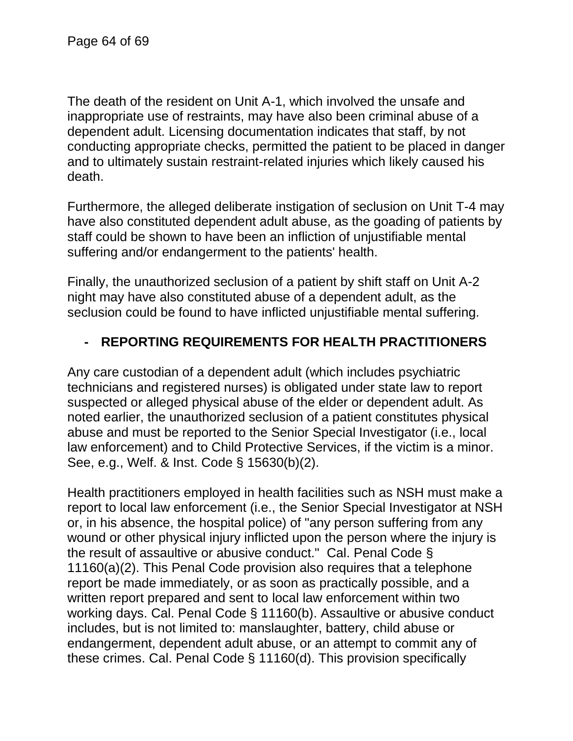The death of the resident on Unit A-1, which involved the unsafe and inappropriate use of restraints, may have also been criminal abuse of a dependent adult. Licensing documentation indicates that staff, by not conducting appropriate checks, permitted the patient to be placed in danger and to ultimately sustain restraint-related injuries which likely caused his death.

Furthermore, the alleged deliberate instigation of seclusion on Unit T-4 may have also constituted dependent adult abuse, as the goading of patients by staff could be shown to have been an infliction of unjustifiable mental suffering and/or endangerment to the patients' health.

Finally, the unauthorized seclusion of a patient by shift staff on Unit A-2 night may have also constituted abuse of a dependent adult, as the seclusion could be found to have inflicted unjustifiable mental suffering.

## **- REPORTING REQUIREMENTS FOR HEALTH PRACTITIONERS**

Any care custodian of a dependent adult (which includes psychiatric technicians and registered nurses) is obligated under state law to report suspected or alleged physical abuse of the elder or dependent adult. As noted earlier, the unauthorized seclusion of a patient constitutes physical abuse and must be reported to the Senior Special Investigator (i.e., local law enforcement) and to Child Protective Services, if the victim is a minor. See, e.g., Welf. & Inst. Code § 15630(b)(2).

Health practitioners employed in health facilities such as NSH must make a report to local law enforcement (i.e., the Senior Special Investigator at NSH or, in his absence, the hospital police) of "any person suffering from any wound or other physical injury inflicted upon the person where the injury is the result of assaultive or abusive conduct." Cal. Penal Code § 11160(a)(2). This Penal Code provision also requires that a telephone report be made immediately, or as soon as practically possible, and a written report prepared and sent to local law enforcement within two working days. Cal. Penal Code § 11160(b). Assaultive or abusive conduct includes, but is not limited to: manslaughter, battery, child abuse or endangerment, dependent adult abuse, or an attempt to commit any of these crimes. Cal. Penal Code § 11160(d). This provision specifically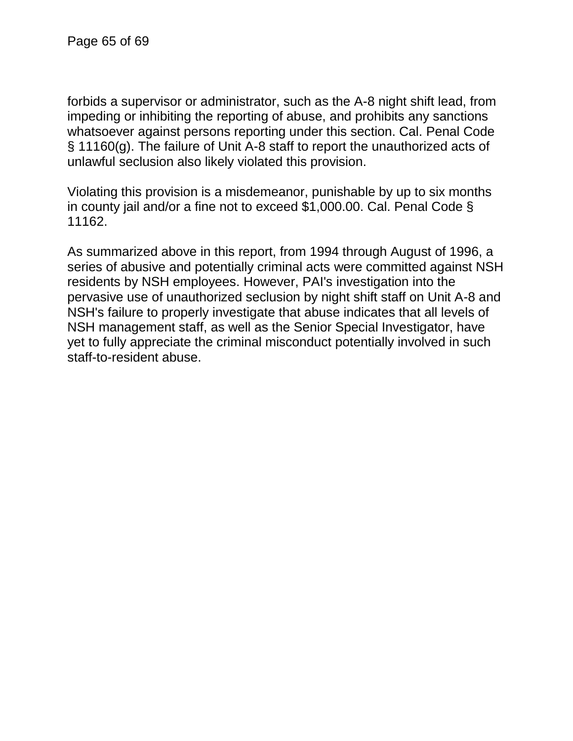forbids a supervisor or administrator, such as the A-8 night shift lead, from impeding or inhibiting the reporting of abuse, and prohibits any sanctions whatsoever against persons reporting under this section. Cal. Penal Code § 11160(g). The failure of Unit A-8 staff to report the unauthorized acts of unlawful seclusion also likely violated this provision.

Violating this provision is a misdemeanor, punishable by up to six months in county jail and/or a fine not to exceed \$1,000.00. Cal. Penal Code § 11162.

As summarized above in this report, from 1994 through August of 1996, a series of abusive and potentially criminal acts were committed against NSH residents by NSH employees. However, PAI's investigation into the pervasive use of unauthorized seclusion by night shift staff on Unit A-8 and NSH's failure to properly investigate that abuse indicates that all levels of NSH management staff, as well as the Senior Special Investigator, have yet to fully appreciate the criminal misconduct potentially involved in such staff-to-resident abuse.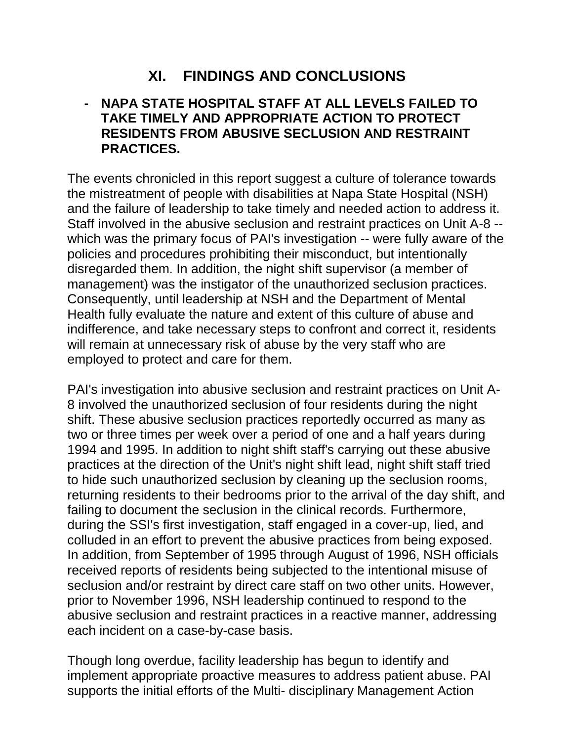# **XI. FINDINGS AND CONCLUSIONS**

#### **- NAPA STATE HOSPITAL STAFF AT ALL LEVELS FAILED TO TAKE TIMELY AND APPROPRIATE ACTION TO PROTECT RESIDENTS FROM ABUSIVE SECLUSION AND RESTRAINT PRACTICES.**

The events chronicled in this report suggest a culture of tolerance towards the mistreatment of people with disabilities at Napa State Hospital (NSH) and the failure of leadership to take timely and needed action to address it. Staff involved in the abusive seclusion and restraint practices on Unit A-8 - which was the primary focus of PAI's investigation -- were fully aware of the policies and procedures prohibiting their misconduct, but intentionally disregarded them. In addition, the night shift supervisor (a member of management) was the instigator of the unauthorized seclusion practices. Consequently, until leadership at NSH and the Department of Mental Health fully evaluate the nature and extent of this culture of abuse and indifference, and take necessary steps to confront and correct it, residents will remain at unnecessary risk of abuse by the very staff who are employed to protect and care for them.

PAI's investigation into abusive seclusion and restraint practices on Unit A-8 involved the unauthorized seclusion of four residents during the night shift. These abusive seclusion practices reportedly occurred as many as two or three times per week over a period of one and a half years during 1994 and 1995. In addition to night shift staff's carrying out these abusive practices at the direction of the Unit's night shift lead, night shift staff tried to hide such unauthorized seclusion by cleaning up the seclusion rooms, returning residents to their bedrooms prior to the arrival of the day shift, and failing to document the seclusion in the clinical records. Furthermore, during the SSI's first investigation, staff engaged in a cover-up, lied, and colluded in an effort to prevent the abusive practices from being exposed. In addition, from September of 1995 through August of 1996, NSH officials received reports of residents being subjected to the intentional misuse of seclusion and/or restraint by direct care staff on two other units. However, prior to November 1996, NSH leadership continued to respond to the abusive seclusion and restraint practices in a reactive manner, addressing each incident on a case-by-case basis.

Though long overdue, facility leadership has begun to identify and implement appropriate proactive measures to address patient abuse. PAI supports the initial efforts of the Multi- disciplinary Management Action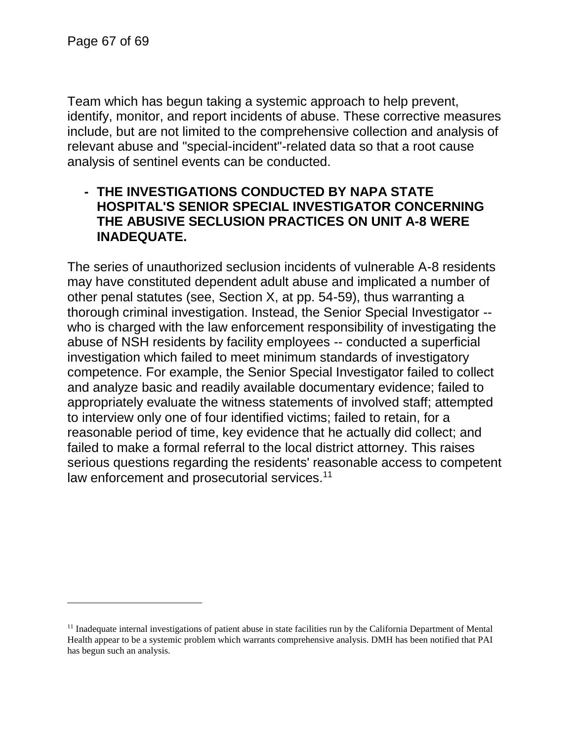l

Team which has begun taking a systemic approach to help prevent, identify, monitor, and report incidents of abuse. These corrective measures include, but are not limited to the comprehensive collection and analysis of relevant abuse and "special-incident"-related data so that a root cause analysis of sentinel events can be conducted.

#### **- THE INVESTIGATIONS CONDUCTED BY NAPA STATE HOSPITAL'S SENIOR SPECIAL INVESTIGATOR CONCERNING THE ABUSIVE SECLUSION PRACTICES ON UNIT A-8 WERE INADEQUATE.**

The series of unauthorized seclusion incidents of vulnerable A-8 residents may have constituted dependent adult abuse and implicated a number of other penal statutes (see, Section X, at pp. 54-59), thus warranting a thorough criminal investigation. Instead, the Senior Special Investigator - who is charged with the law enforcement responsibility of investigating the abuse of NSH residents by facility employees -- conducted a superficial investigation which failed to meet minimum standards of investigatory competence. For example, the Senior Special Investigator failed to collect and analyze basic and readily available documentary evidence; failed to appropriately evaluate the witness statements of involved staff; attempted to interview only one of four identified victims; failed to retain, for a reasonable period of time, key evidence that he actually did collect; and failed to make a formal referral to the local district attorney. This raises serious questions regarding the residents' reasonable access to competent law enforcement and prosecutorial services.<sup>11</sup>

 $<sup>11</sup>$  Inadequate internal investigations of patient abuse in state facilities run by the California Department of Mental</sup> Health appear to be a systemic problem which warrants comprehensive analysis. DMH has been notified that PAI has begun such an analysis.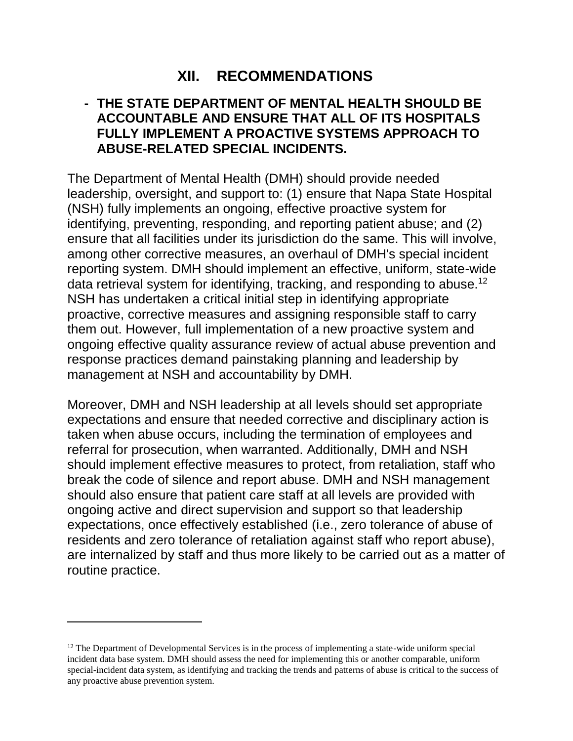# **XII. RECOMMENDATIONS**

#### **- THE STATE DEPARTMENT OF MENTAL HEALTH SHOULD BE ACCOUNTABLE AND ENSURE THAT ALL OF ITS HOSPITALS FULLY IMPLEMENT A PROACTIVE SYSTEMS APPROACH TO ABUSE-RELATED SPECIAL INCIDENTS.**

The Department of Mental Health (DMH) should provide needed leadership, oversight, and support to: (1) ensure that Napa State Hospital (NSH) fully implements an ongoing, effective proactive system for identifying, preventing, responding, and reporting patient abuse; and (2) ensure that all facilities under its jurisdiction do the same. This will involve, among other corrective measures, an overhaul of DMH's special incident reporting system. DMH should implement an effective, uniform, state-wide data retrieval system for identifying, tracking, and responding to abuse.<sup>12</sup> NSH has undertaken a critical initial step in identifying appropriate proactive, corrective measures and assigning responsible staff to carry them out. However, full implementation of a new proactive system and ongoing effective quality assurance review of actual abuse prevention and response practices demand painstaking planning and leadership by management at NSH and accountability by DMH.

Moreover, DMH and NSH leadership at all levels should set appropriate expectations and ensure that needed corrective and disciplinary action is taken when abuse occurs, including the termination of employees and referral for prosecution, when warranted. Additionally, DMH and NSH should implement effective measures to protect, from retaliation, staff who break the code of silence and report abuse. DMH and NSH management should also ensure that patient care staff at all levels are provided with ongoing active and direct supervision and support so that leadership expectations, once effectively established (i.e., zero tolerance of abuse of residents and zero tolerance of retaliation against staff who report abuse), are internalized by staff and thus more likely to be carried out as a matter of routine practice.

 $12$  The Department of Developmental Services is in the process of implementing a state-wide uniform special incident data base system. DMH should assess the need for implementing this or another comparable, uniform special-incident data system, as identifying and tracking the trends and patterns of abuse is critical to the success of any proactive abuse prevention system.